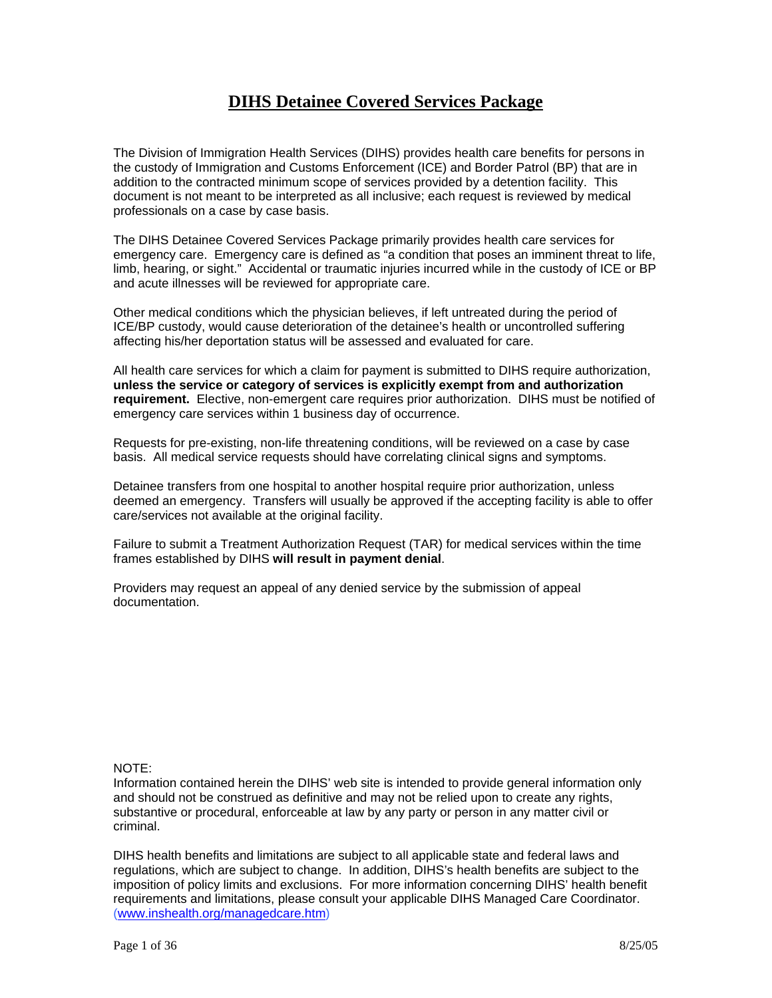# **DIHS Detainee Covered Services Package**

The Division of Immigration Health Services (DIHS) provides health care benefits for persons in the custody of Immigration and Customs Enforcement (ICE) and Border Patrol (BP) that are in addition to the contracted minimum scope of services provided by a detention facility. This document is not meant to be interpreted as all inclusive; each request is reviewed by medical professionals on a case by case basis.

The DIHS Detainee Covered Services Package primarily provides health care services for emergency care. Emergency care is defined as "a condition that poses an imminent threat to life, limb, hearing, or sight." Accidental or traumatic injuries incurred while in the custody of ICE or BP and acute illnesses will be reviewed for appropriate care.

Other medical conditions which the physician believes, if left untreated during the period of ICE/BP custody, would cause deterioration of the detainee's health or uncontrolled suffering affecting his/her deportation status will be assessed and evaluated for care.

All health care services for which a claim for payment is submitted to DIHS require authorization, **unless the service or category of services is explicitly exempt from and authorization requirement.** Elective, non-emergent care requires prior authorization. DIHS must be notified of emergency care services within 1 business day of occurrence.

Requests for pre-existing, non-life threatening conditions, will be reviewed on a case by case basis. All medical service requests should have correlating clinical signs and symptoms.

Detainee transfers from one hospital to another hospital require prior authorization, unless deemed an emergency. Transfers will usually be approved if the accepting facility is able to offer care/services not available at the original facility.

Failure to submit a Treatment Authorization Request (TAR) for medical services within the time frames established by DIHS **will result in payment denial**.

Providers may request an appeal of any denied service by the submission of appeal documentation.

#### NOTE:

Information contained herein the DIHS' web site is intended to provide general information only and should not be construed as definitive and may not be relied upon to create any rights, substantive or procedural, enforceable at law by any party or person in any matter civil or criminal.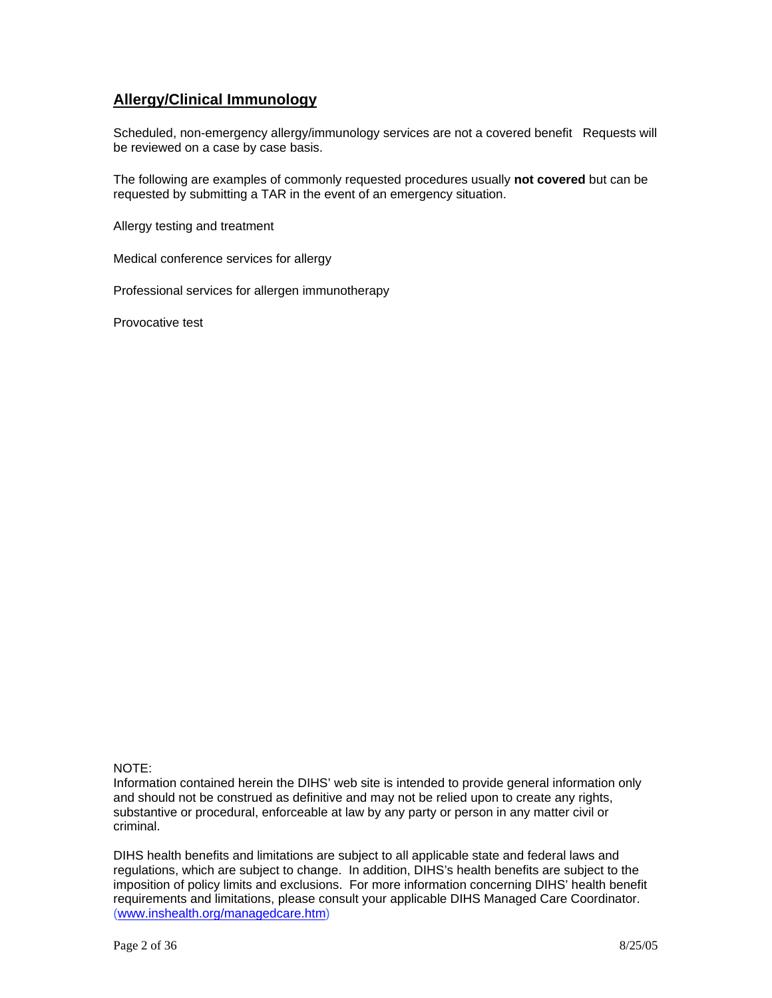# **Allergy/Clinical Immunology**

Scheduled, non-emergency allergy/immunology services are not a covered benefit Requests will be reviewed on a case by case basis.

The following are examples of commonly requested procedures usually **not covered** but can be requested by submitting a TAR in the event of an emergency situation.

Allergy testing and treatment

Medical conference services for allergy

Professional services for allergen immunotherapy

Provocative test

### NOTE:

Information contained herein the DIHS' web site is intended to provide general information only and should not be construed as definitive and may not be relied upon to create any rights, substantive or procedural, enforceable at law by any party or person in any matter civil or criminal.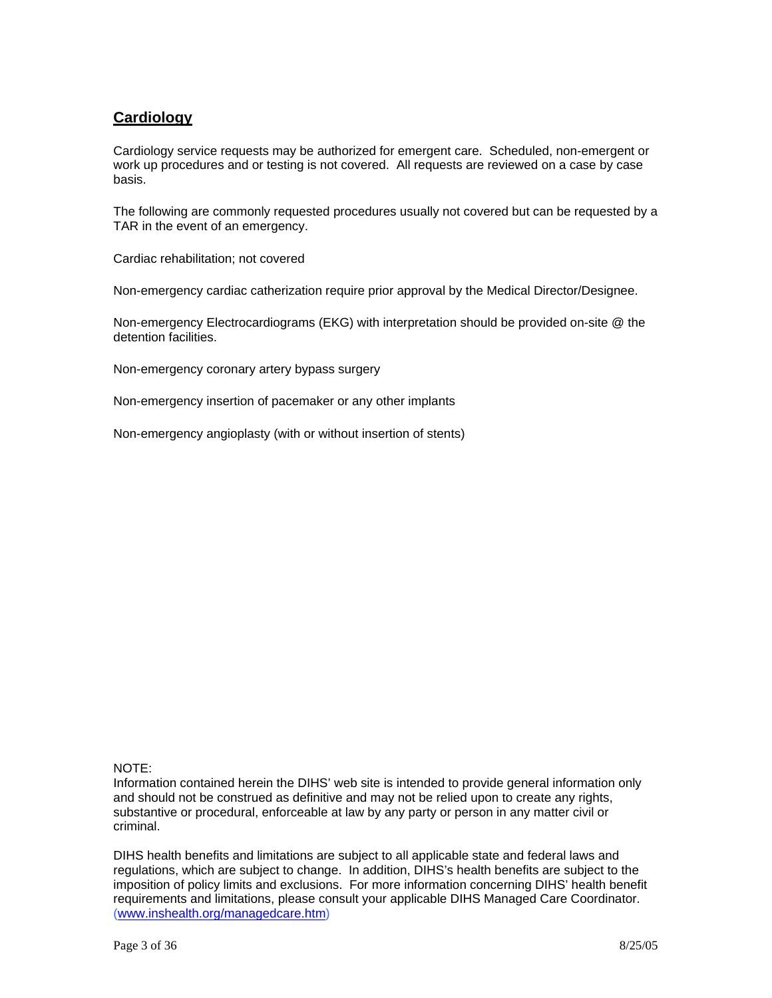# **Cardiology**

Cardiology service requests may be authorized for emergent care. Scheduled, non-emergent or work up procedures and or testing is not covered. All requests are reviewed on a case by case basis.

The following are commonly requested procedures usually not covered but can be requested by a TAR in the event of an emergency.

Cardiac rehabilitation; not covered

Non-emergency cardiac catherization require prior approval by the Medical Director/Designee.

Non-emergency Electrocardiograms (EKG) with interpretation should be provided on-site @ the detention facilities.

Non-emergency coronary artery bypass surgery

Non-emergency insertion of pacemaker or any other implants

Non-emergency angioplasty (with or without insertion of stents)

### NOTE:

Information contained herein the DIHS' web site is intended to provide general information only and should not be construed as definitive and may not be relied upon to create any rights, substantive or procedural, enforceable at law by any party or person in any matter civil or criminal.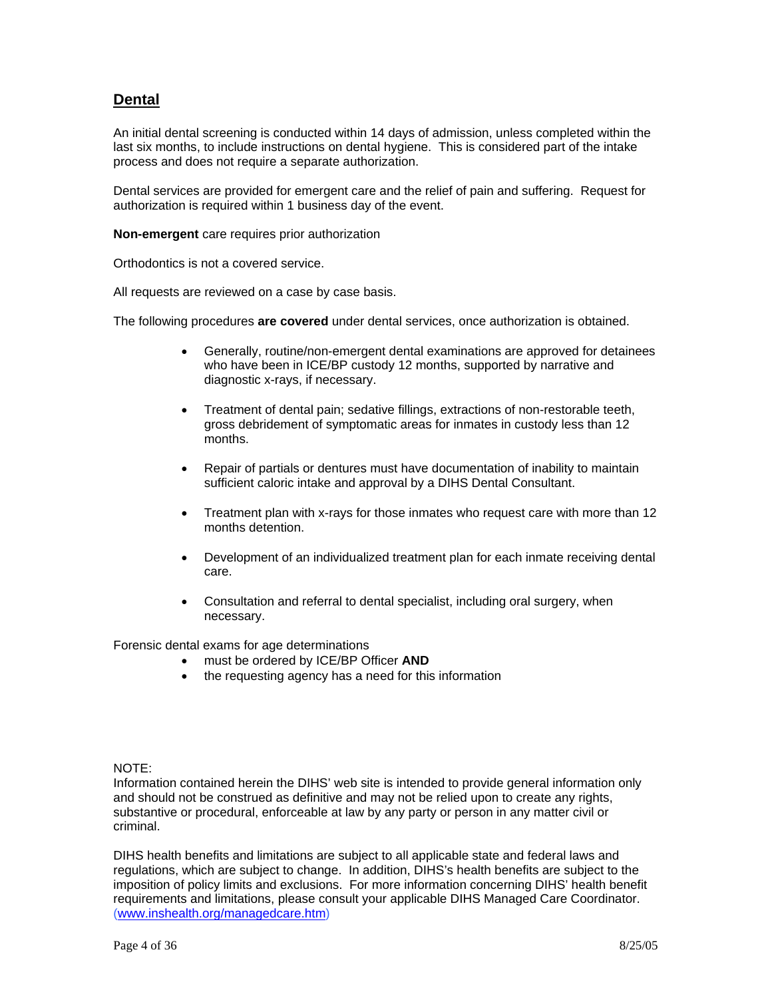## **Dental**

An initial dental screening is conducted within 14 days of admission, unless completed within the last six months, to include instructions on dental hygiene. This is considered part of the intake process and does not require a separate authorization.

Dental services are provided for emergent care and the relief of pain and suffering. Request for authorization is required within 1 business day of the event.

**Non-emergent** care requires prior authorization

Orthodontics is not a covered service.

All requests are reviewed on a case by case basis.

The following procedures **are covered** under dental services, once authorization is obtained.

- Generally, routine/non-emergent dental examinations are approved for detainees who have been in ICE/BP custody 12 months, supported by narrative and diagnostic x-rays, if necessary.
- Treatment of dental pain; sedative fillings, extractions of non-restorable teeth, gross debridement of symptomatic areas for inmates in custody less than 12 months.
- Repair of partials or dentures must have documentation of inability to maintain sufficient caloric intake and approval by a DIHS Dental Consultant.
- Treatment plan with x-rays for those inmates who request care with more than 12 months detention.
- Development of an individualized treatment plan for each inmate receiving dental care.
- Consultation and referral to dental specialist, including oral surgery, when necessary.

Forensic dental exams for age determinations

- must be ordered by ICE/BP Officer **AND**
- the requesting agency has a need for this information

#### NOTE:

Information contained herein the DIHS' web site is intended to provide general information only and should not be construed as definitive and may not be relied upon to create any rights, substantive or procedural, enforceable at law by any party or person in any matter civil or criminal.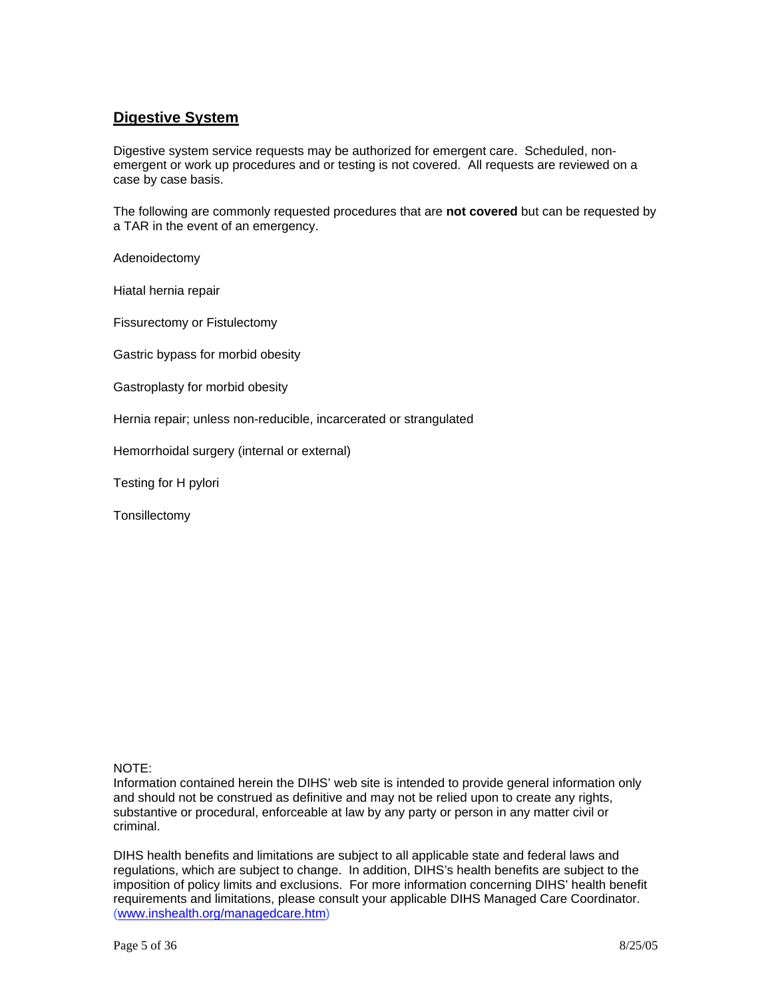## **Digestive System**

Digestive system service requests may be authorized for emergent care. Scheduled, nonemergent or work up procedures and or testing is not covered. All requests are reviewed on a case by case basis.

The following are commonly requested procedures that are **not covered** but can be requested by a TAR in the event of an emergency.

Adenoidectomy

Hiatal hernia repair

Fissurectomy or Fistulectomy

Gastric bypass for morbid obesity

Gastroplasty for morbid obesity

Hernia repair; unless non-reducible, incarcerated or strangulated

Hemorrhoidal surgery (internal or external)

Testing for H pylori

**Tonsillectomy** 

#### NOTE:

Information contained herein the DIHS' web site is intended to provide general information only and should not be construed as definitive and may not be relied upon to create any rights, substantive or procedural, enforceable at law by any party or person in any matter civil or criminal.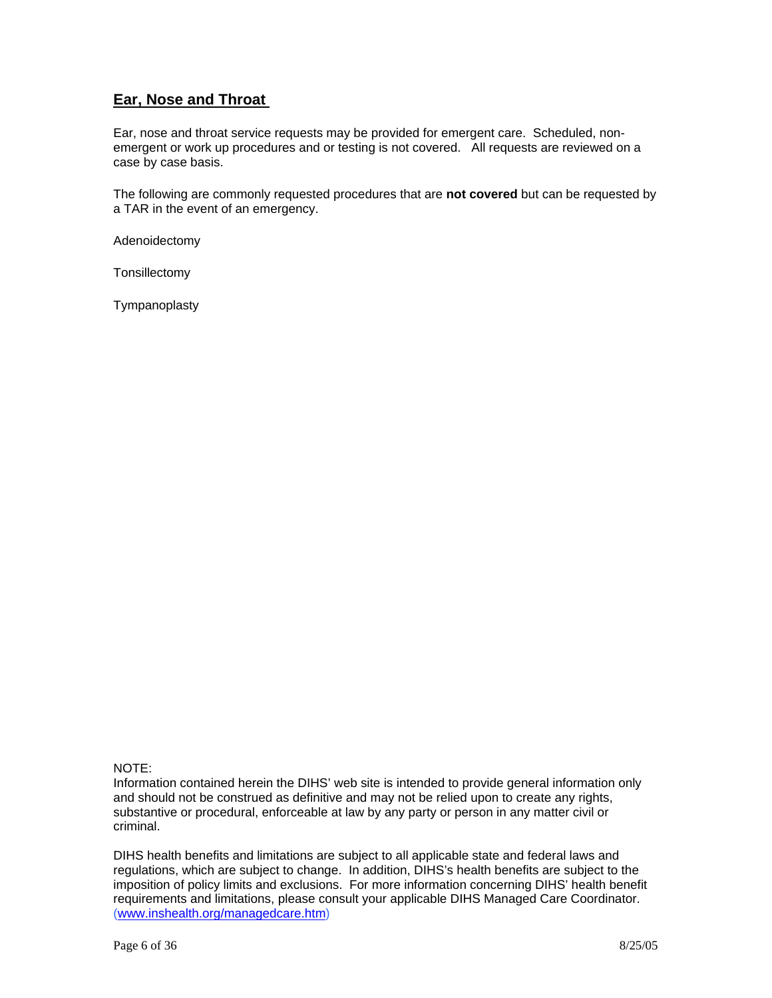# **Ear, Nose and Throat**

Ear, nose and throat service requests may be provided for emergent care. Scheduled, nonemergent or work up procedures and or testing is not covered. All requests are reviewed on a case by case basis.

The following are commonly requested procedures that are **not covered** but can be requested by a TAR in the event of an emergency.

Adenoidectomy

**Tonsillectomy** 

Tympanoplasty

### NOTE:

Information contained herein the DIHS' web site is intended to provide general information only and should not be construed as definitive and may not be relied upon to create any rights, substantive or procedural, enforceable at law by any party or person in any matter civil or criminal.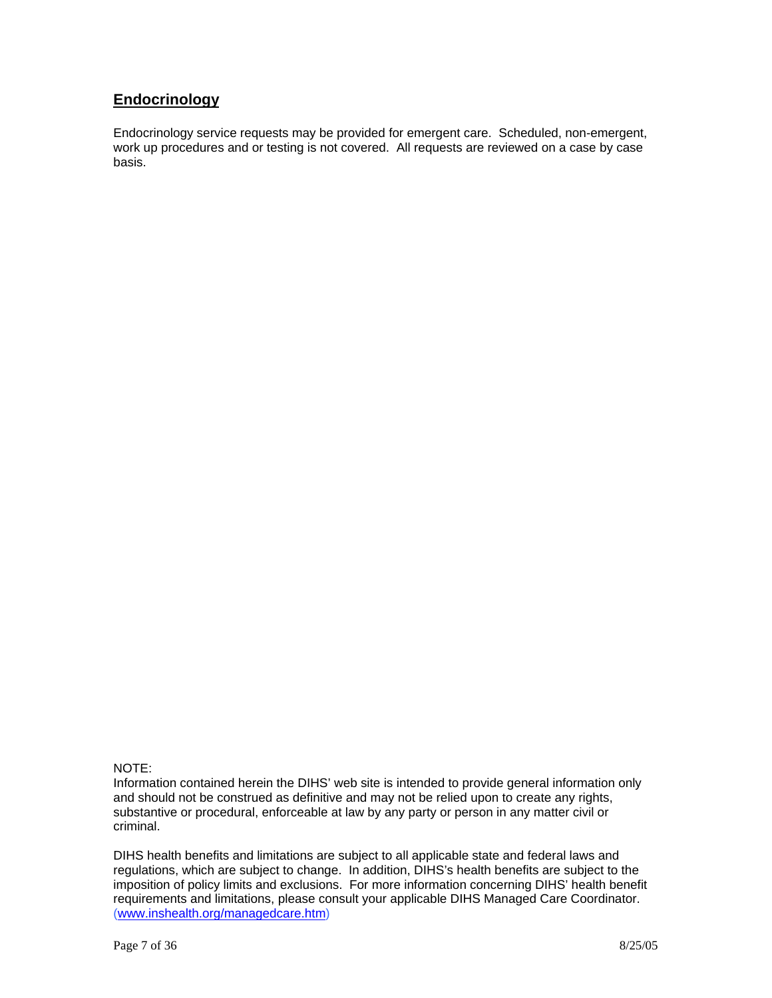# **Endocrinology**

Endocrinology service requests may be provided for emergent care. Scheduled, non-emergent, work up procedures and or testing is not covered. All requests are reviewed on a case by case basis.

### NOTE:

Information contained herein the DIHS' web site is intended to provide general information only and should not be construed as definitive and may not be relied upon to create any rights, substantive or procedural, enforceable at law by any party or person in any matter civil or criminal.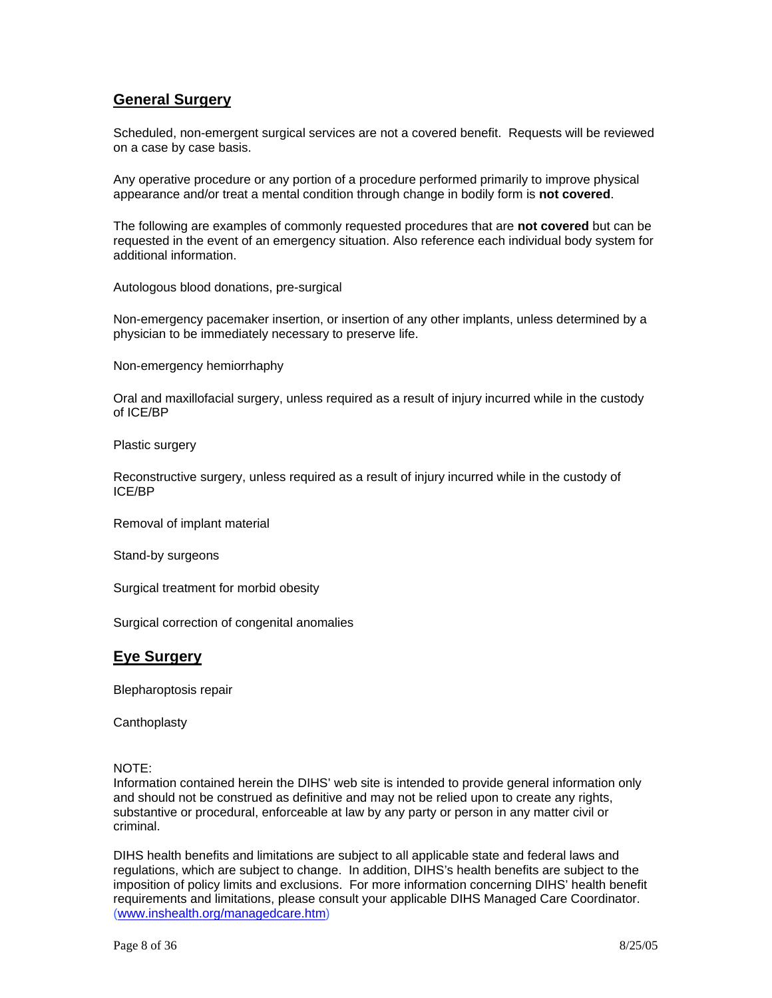## **General Surgery**

Scheduled, non-emergent surgical services are not a covered benefit. Requests will be reviewed on a case by case basis.

Any operative procedure or any portion of a procedure performed primarily to improve physical appearance and/or treat a mental condition through change in bodily form is **not covered**.

The following are examples of commonly requested procedures that are **not covered** but can be requested in the event of an emergency situation. Also reference each individual body system for additional information.

Autologous blood donations, pre-surgical

Non-emergency pacemaker insertion, or insertion of any other implants, unless determined by a physician to be immediately necessary to preserve life.

Non-emergency hemiorrhaphy

Oral and maxillofacial surgery, unless required as a result of injury incurred while in the custody of ICE/BP

Plastic surgery

Reconstructive surgery, unless required as a result of injury incurred while in the custody of ICE/BP

Removal of implant material

Stand-by surgeons

Surgical treatment for morbid obesity

Surgical correction of congenital anomalies

### **Eye Surgery**

Blepharoptosis repair

**Canthoplasty** 

#### NOTE:

Information contained herein the DIHS' web site is intended to provide general information only and should not be construed as definitive and may not be relied upon to create any rights, substantive or procedural, enforceable at law by any party or person in any matter civil or criminal.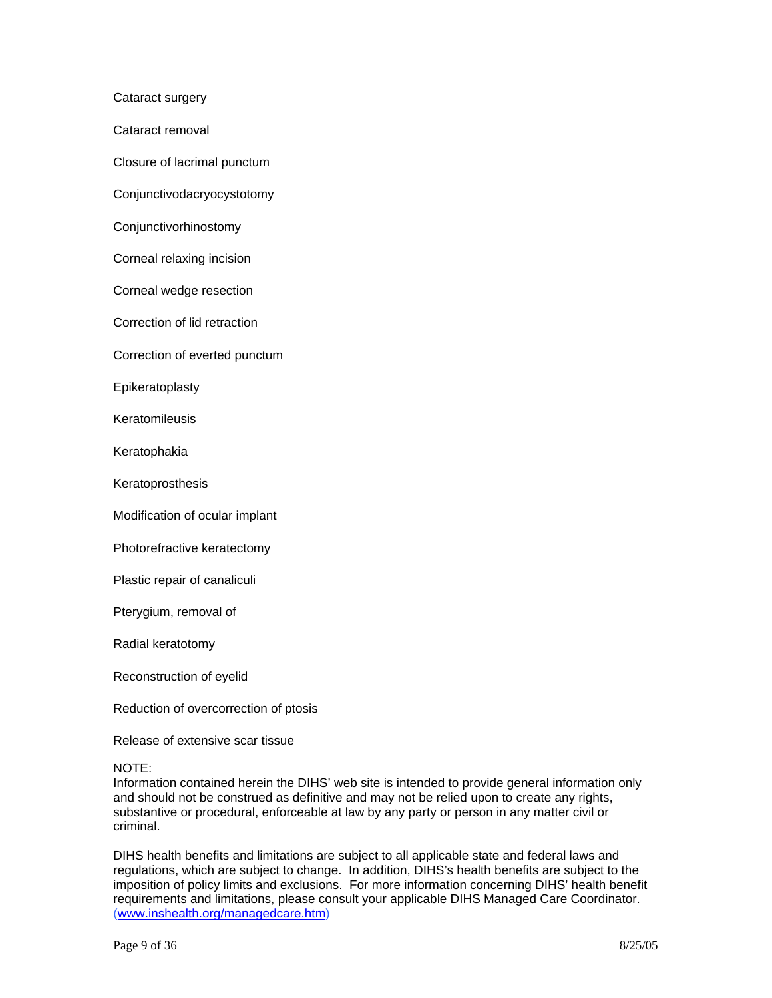Cataract surgery

Cataract removal

Closure of lacrimal punctum

Conjunctivodacryocystotomy

Conjunctivorhinostomy

Corneal relaxing incision

Corneal wedge resection

Correction of lid retraction

Correction of everted punctum

Epikeratoplasty

**Keratomileusis** 

Keratophakia

**Keratoprosthesis** 

Modification of ocular implant

Photorefractive keratectomy

Plastic repair of canaliculi

Pterygium, removal of

Radial keratotomy

Reconstruction of eyelid

Reduction of overcorrection of ptosis

Release of extensive scar tissue

NOTE:

Information contained herein the DIHS' web site is intended to provide general information only and should not be construed as definitive and may not be relied upon to create any rights, substantive or procedural, enforceable at law by any party or person in any matter civil or criminal.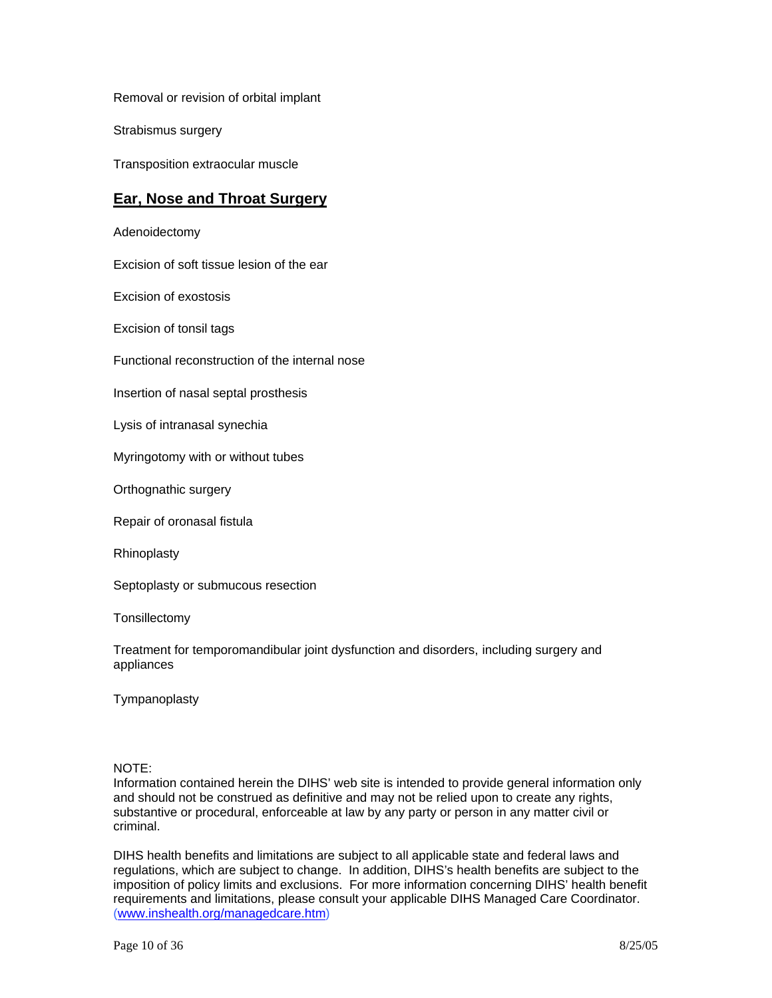Removal or revision of orbital implant

Strabismus surgery

Transposition extraocular muscle

### **Ear, Nose and Throat Surgery**

Adenoidectomy

Excision of soft tissue lesion of the ear

Excision of exostosis

Excision of tonsil tags

Functional reconstruction of the internal nose

Insertion of nasal septal prosthesis

Lysis of intranasal synechia

Myringotomy with or without tubes

Orthognathic surgery

Repair of oronasal fistula

Rhinoplasty

Septoplasty or submucous resection

**Tonsillectomy** 

Treatment for temporomandibular joint dysfunction and disorders, including surgery and appliances

Tympanoplasty

#### NOTE:

Information contained herein the DIHS' web site is intended to provide general information only and should not be construed as definitive and may not be relied upon to create any rights, substantive or procedural, enforceable at law by any party or person in any matter civil or criminal.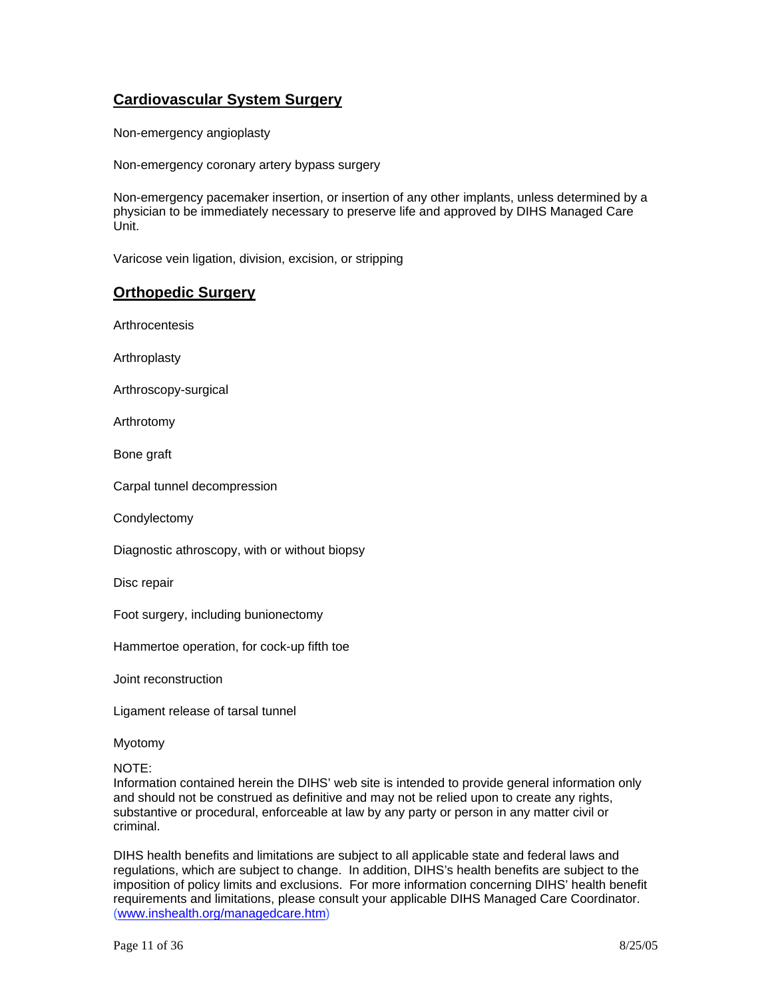# **Cardiovascular System Surgery**

Non-emergency angioplasty

Non-emergency coronary artery bypass surgery

Non-emergency pacemaker insertion, or insertion of any other implants, unless determined by a physician to be immediately necessary to preserve life and approved by DIHS Managed Care Unit.

Varicose vein ligation, division, excision, or stripping

### **Orthopedic Surgery**

Arthrocentesis

Arthroplasty

Arthroscopy-surgical

Arthrotomy

Bone graft

Carpal tunnel decompression

**Condylectomy** 

Diagnostic athroscopy, with or without biopsy

Disc repair

Foot surgery, including bunionectomy

Hammertoe operation, for cock-up fifth toe

Joint reconstruction

Ligament release of tarsal tunnel

Myotomy

NOTE:

Information contained herein the DIHS' web site is intended to provide general information only and should not be construed as definitive and may not be relied upon to create any rights, substantive or procedural, enforceable at law by any party or person in any matter civil or criminal.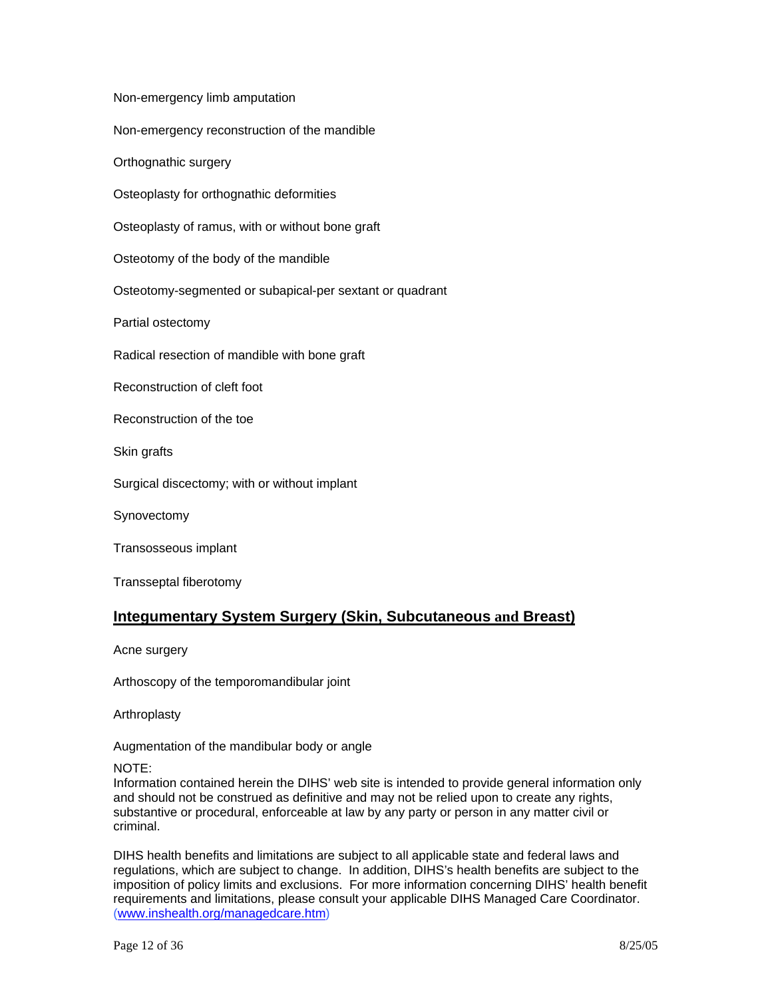Non-emergency limb amputation Non-emergency reconstruction of the mandible Orthognathic surgery Osteoplasty for orthognathic deformities Osteoplasty of ramus, with or without bone graft Osteotomy of the body of the mandible Osteotomy-segmented or subapical-per sextant or quadrant Partial ostectomy Radical resection of mandible with bone graft Reconstruction of cleft foot Reconstruction of the toe Skin grafts Surgical discectomy; with or without implant **Synovectomy** Transosseous implant Transseptal fiberotomy

# **Integumentary System Surgery (Skin, Subcutaneous and Breast)**

Acne surgery

Arthoscopy of the temporomandibular joint

Arthroplasty

Augmentation of the mandibular body or angle

NOTE:

Information contained herein the DIHS' web site is intended to provide general information only and should not be construed as definitive and may not be relied upon to create any rights, substantive or procedural, enforceable at law by any party or person in any matter civil or criminal.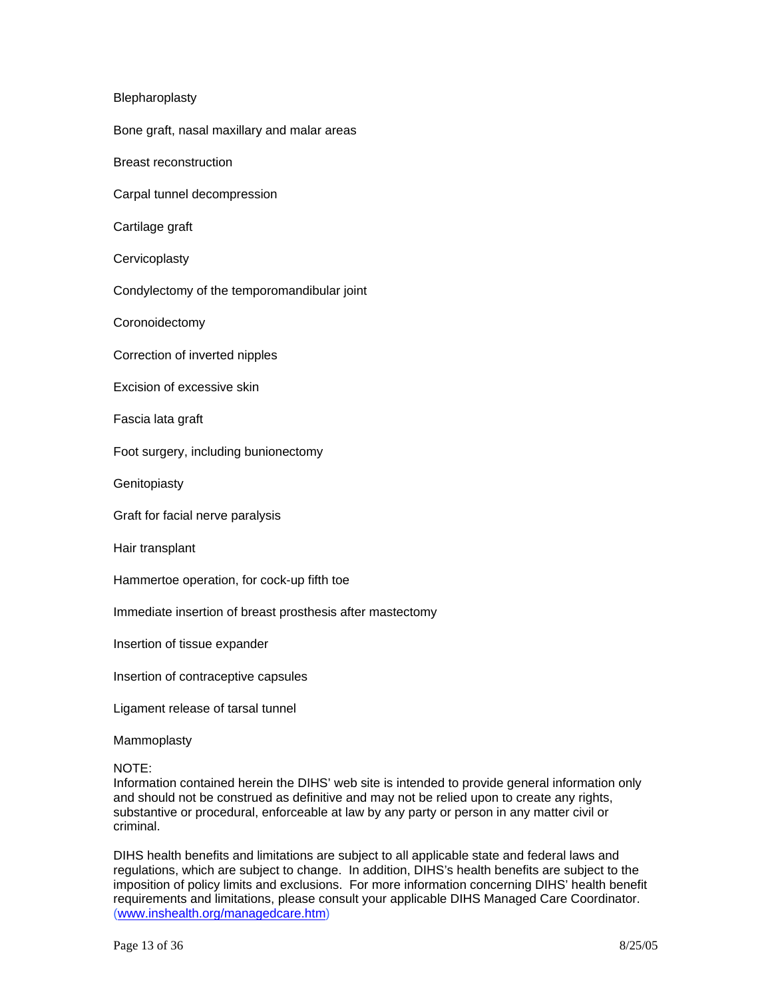### Blepharoplasty

Bone graft, nasal maxillary and malar areas

Breast reconstruction

Carpal tunnel decompression

Cartilage graft

**Cervicoplasty** 

Condylectomy of the temporomandibular joint

Coronoidectomy

Correction of inverted nipples

Excision of excessive skin

Fascia lata graft

Foot surgery, including bunionectomy

**Genitopiasty** 

Graft for facial nerve paralysis

Hair transplant

Hammertoe operation, for cock-up fifth toe

Immediate insertion of breast prosthesis after mastectomy

Insertion of tissue expander

Insertion of contraceptive capsules

Ligament release of tarsal tunnel

Mammoplasty

#### NOTE:

Information contained herein the DIHS' web site is intended to provide general information only and should not be construed as definitive and may not be relied upon to create any rights, substantive or procedural, enforceable at law by any party or person in any matter civil or criminal.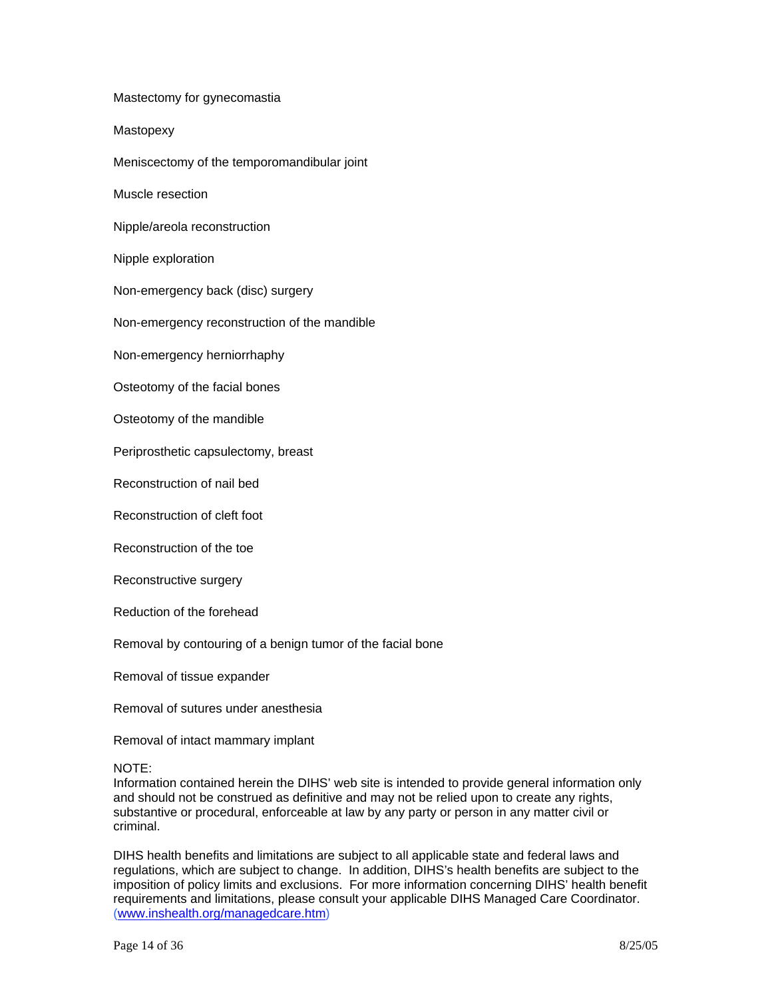Mastectomy for gynecomastia **Mastopexy** Meniscectomy of the temporomandibular joint Muscle resection Nipple/areola reconstruction Nipple exploration Non-emergency back (disc) surgery Non-emergency reconstruction of the mandible Non-emergency herniorrhaphy Osteotomy of the facial bones Osteotomy of the mandible Periprosthetic capsulectomy, breast Reconstruction of nail bed Reconstruction of cleft foot Reconstruction of the toe

Reconstructive surgery

Reduction of the forehead

Removal by contouring of a benign tumor of the facial bone

Removal of tissue expander

Removal of sutures under anesthesia

Removal of intact mammary implant

NOTE:

Information contained herein the DIHS' web site is intended to provide general information only and should not be construed as definitive and may not be relied upon to create any rights, substantive or procedural, enforceable at law by any party or person in any matter civil or criminal.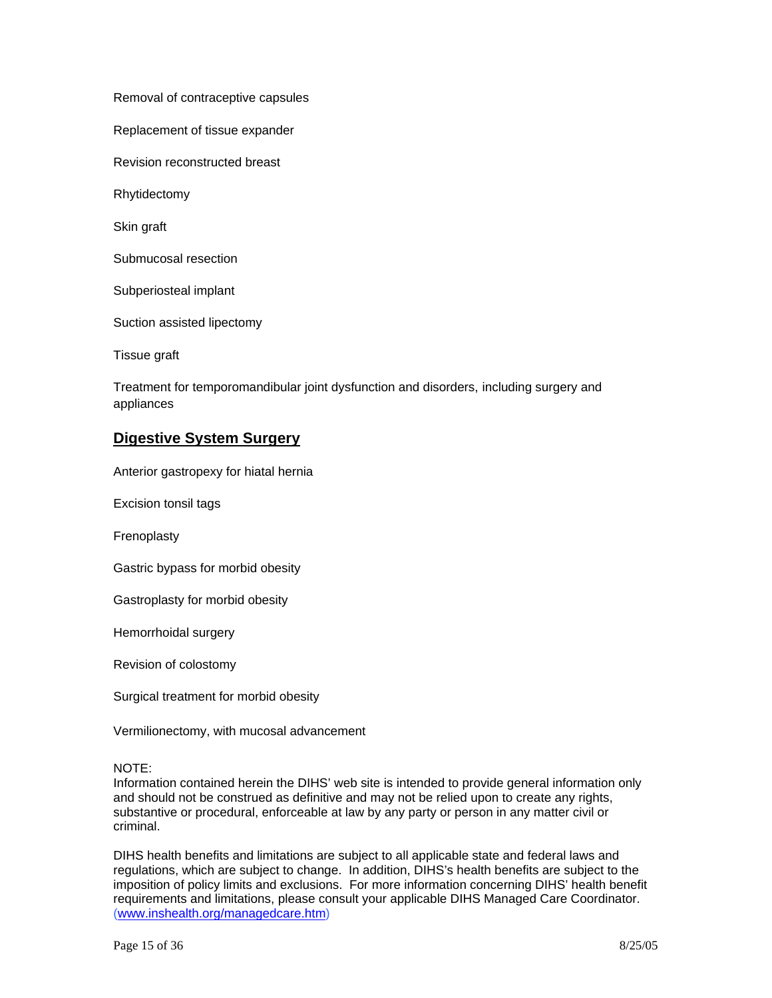Removal of contraceptive capsules

Replacement of tissue expander

Revision reconstructed breast

Rhytidectomy

Skin graft

Submucosal resection

Subperiosteal implant

Suction assisted lipectomy

Tissue graft

Treatment for temporomandibular joint dysfunction and disorders, including surgery and appliances

### **Digestive System Surgery**

Anterior gastropexy for hiatal hernia

Excision tonsil tags

Frenoplasty

Gastric bypass for morbid obesity

Gastroplasty for morbid obesity

Hemorrhoidal surgery

Revision of colostomy

Surgical treatment for morbid obesity

Vermilionectomy, with mucosal advancement

### NOTE:

Information contained herein the DIHS' web site is intended to provide general information only and should not be construed as definitive and may not be relied upon to create any rights, substantive or procedural, enforceable at law by any party or person in any matter civil or criminal.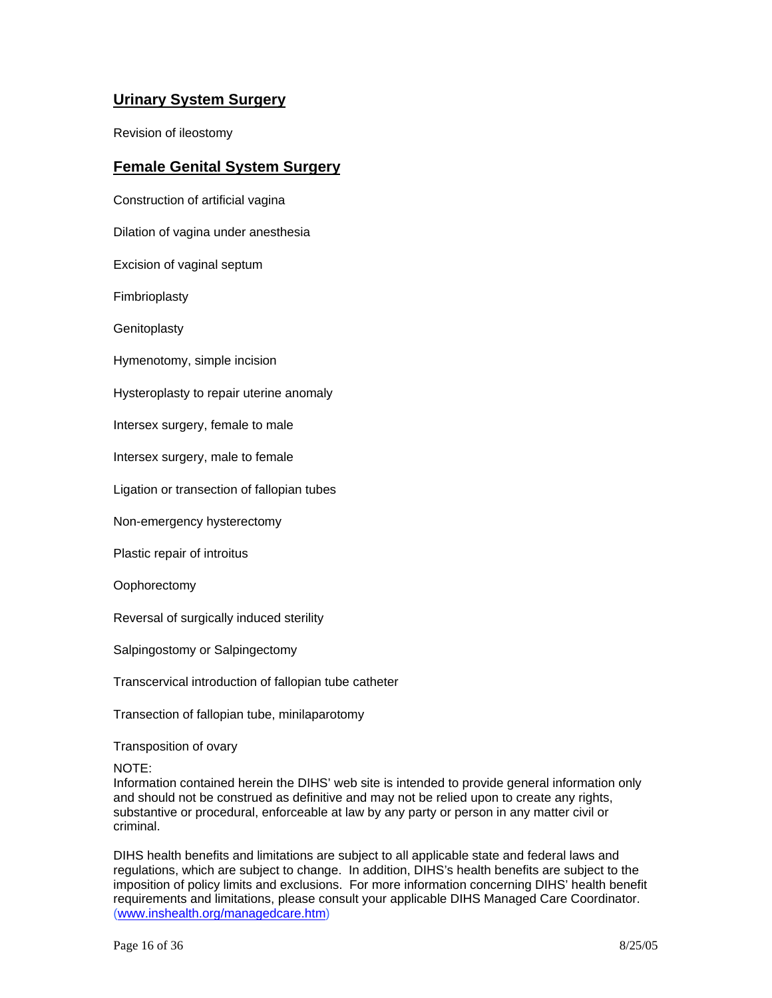# **Urinary System Surgery**

Revision of ileostomy

### **Female Genital System Surgery**

Construction of artificial vagina Dilation of vagina under anesthesia Excision of vaginal septum Fimbrioplasty **Genitoplasty** Hymenotomy, simple incision Hysteroplasty to repair uterine anomaly Intersex surgery, female to male Intersex surgery, male to female Ligation or transection of fallopian tubes

Non-emergency hysterectomy

Plastic repair of introitus

**Oophorectomy** 

Reversal of surgically induced sterility

Salpingostomy or Salpingectomy

Transcervical introduction of fallopian tube catheter

Transection of fallopian tube, minilaparotomy

Transposition of ovary

NOTE:

Information contained herein the DIHS' web site is intended to provide general information only and should not be construed as definitive and may not be relied upon to create any rights, substantive or procedural, enforceable at law by any party or person in any matter civil or criminal.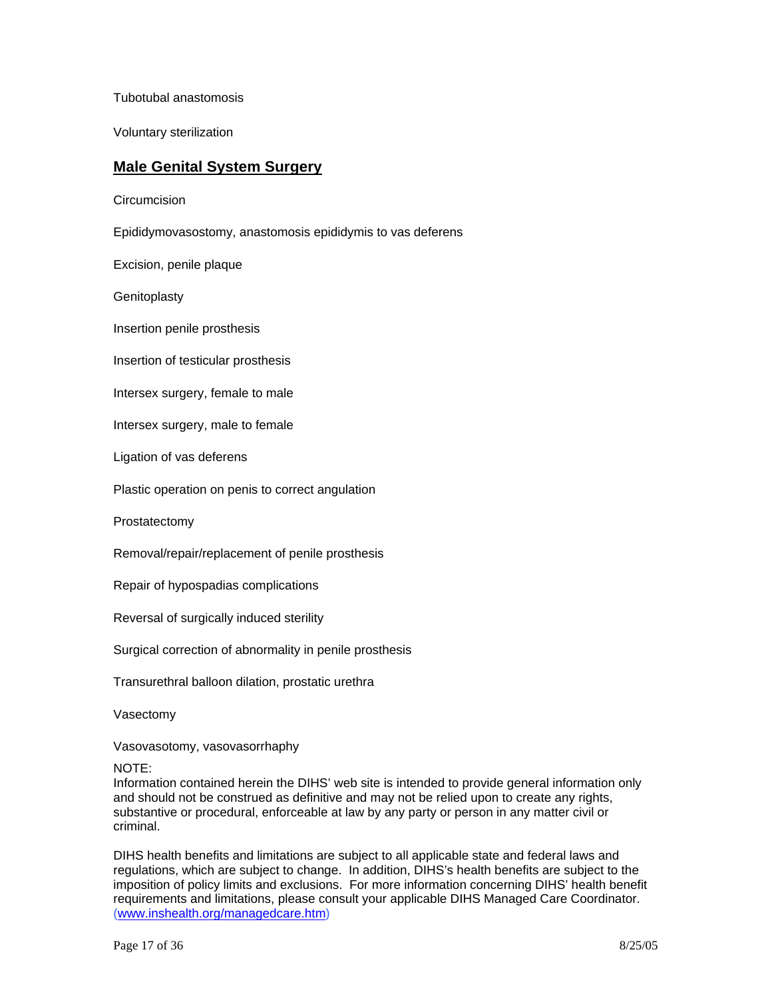Tubotubal anastomosis

Voluntary sterilization

### **Male Genital System Surgery**

**Circumcision** 

Epididymovasostomy, anastomosis epididymis to vas deferens

Excision, penile plaque

**Genitoplasty** 

Insertion penile prosthesis

Insertion of testicular prosthesis

Intersex surgery, female to male

Intersex surgery, male to female

Ligation of vas deferens

Plastic operation on penis to correct angulation

Prostatectomy

Removal/repair/replacement of penile prosthesis

Repair of hypospadias complications

Reversal of surgically induced sterility

Surgical correction of abnormality in penile prosthesis

Transurethral balloon dilation, prostatic urethra

Vasectomy

Vasovasotomy, vasovasorrhaphy

NOTE:

Information contained herein the DIHS' web site is intended to provide general information only and should not be construed as definitive and may not be relied upon to create any rights, substantive or procedural, enforceable at law by any party or person in any matter civil or criminal.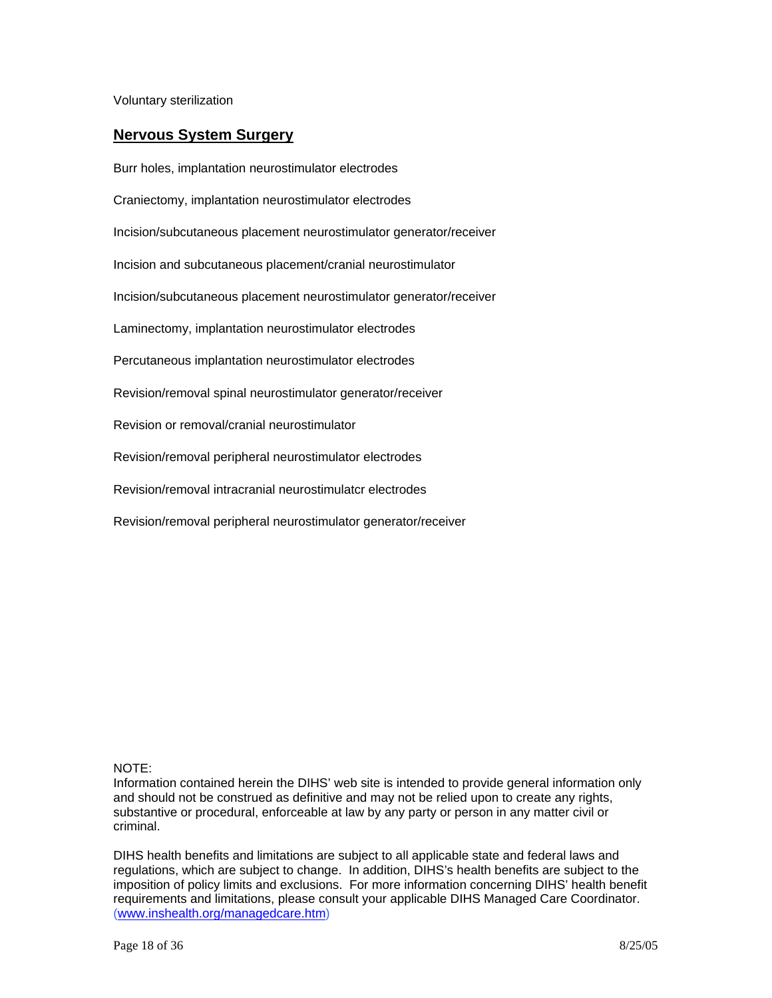Voluntary sterilization

### **Nervous System Surgery**

Burr holes, implantation neurostimulator electrodes Craniectomy, implantation neurostimulator electrodes Incision/subcutaneous placement neurostimulator generator/receiver Incision and subcutaneous placement/cranial neurostimulator Incision/subcutaneous placement neurostimulator generator/receiver Laminectomy, implantation neurostimulator electrodes Percutaneous implantation neurostimulator electrodes Revision/removal spinal neurostimulator generator/receiver Revision or removal/cranial neurostimulator Revision/removal peripheral neurostimulator electrodes Revision/removal intracranial neurostimulatcr electrodes Revision/removal peripheral neurostimulator generator/receiver

### NOTE:

Information contained herein the DIHS' web site is intended to provide general information only and should not be construed as definitive and may not be relied upon to create any rights, substantive or procedural, enforceable at law by any party or person in any matter civil or criminal.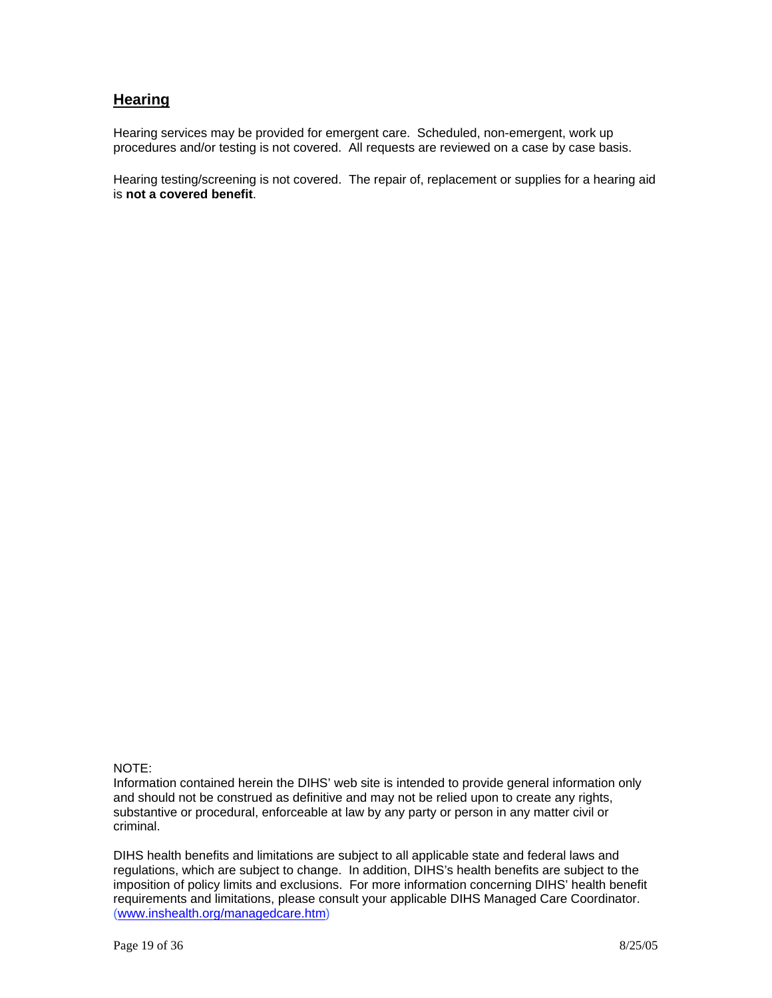### **Hearing**

Hearing services may be provided for emergent care. Scheduled, non-emergent, work up procedures and/or testing is not covered. All requests are reviewed on a case by case basis.

Hearing testing/screening is not covered. The repair of, replacement or supplies for a hearing aid is **not a covered benefit**.

### NOTE:

Information contained herein the DIHS' web site is intended to provide general information only and should not be construed as definitive and may not be relied upon to create any rights, substantive or procedural, enforceable at law by any party or person in any matter civil or criminal.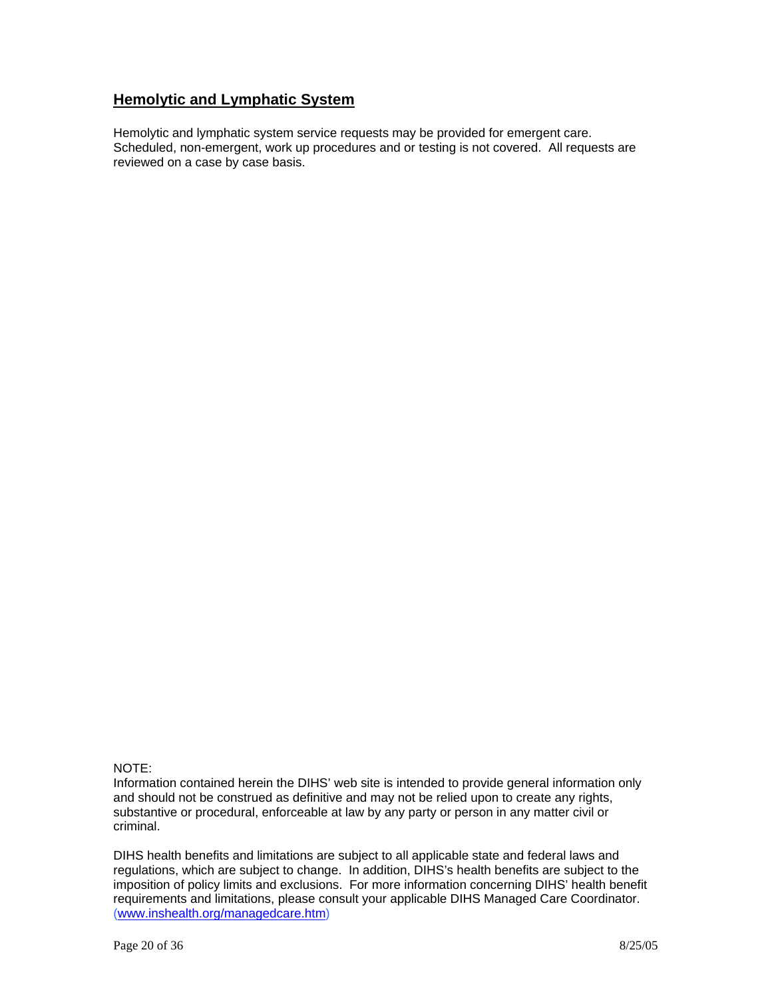# **Hemolytic and Lymphatic System**

Hemolytic and lymphatic system service requests may be provided for emergent care. Scheduled, non-emergent, work up procedures and or testing is not covered. All requests are reviewed on a case by case basis.

### NOTE:

Information contained herein the DIHS' web site is intended to provide general information only and should not be construed as definitive and may not be relied upon to create any rights, substantive or procedural, enforceable at law by any party or person in any matter civil or criminal.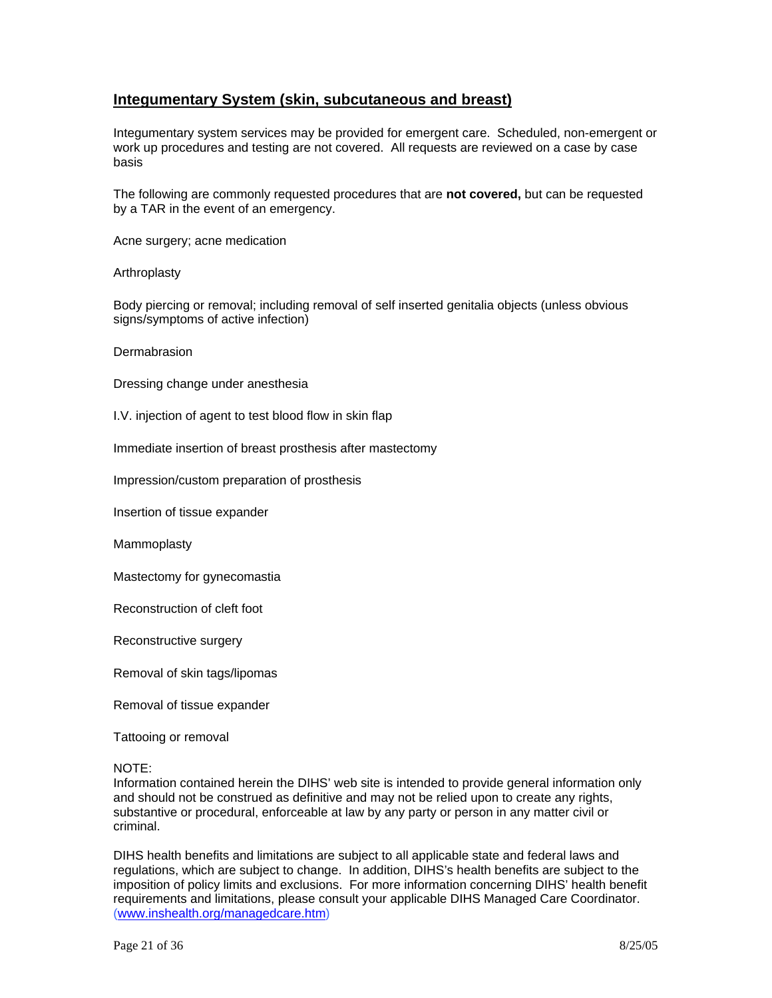### **Integumentary System (skin, subcutaneous and breast)**

Integumentary system services may be provided for emergent care. Scheduled, non-emergent or work up procedures and testing are not covered. All requests are reviewed on a case by case basis

The following are commonly requested procedures that are **not covered,** but can be requested by a TAR in the event of an emergency.

Acne surgery; acne medication

Arthroplasty

Body piercing or removal; including removal of self inserted genitalia objects (unless obvious signs/symptoms of active infection)

**Dermabrasion** 

Dressing change under anesthesia

I.V. injection of agent to test blood flow in skin flap

Immediate insertion of breast prosthesis after mastectomy

Impression/custom preparation of prosthesis

Insertion of tissue expander

Mammoplasty

Mastectomy for gynecomastia

Reconstruction of cleft foot

Reconstructive surgery

Removal of skin tags/lipomas

Removal of tissue expander

Tattooing or removal

NOTE:

Information contained herein the DIHS' web site is intended to provide general information only and should not be construed as definitive and may not be relied upon to create any rights, substantive or procedural, enforceable at law by any party or person in any matter civil or criminal.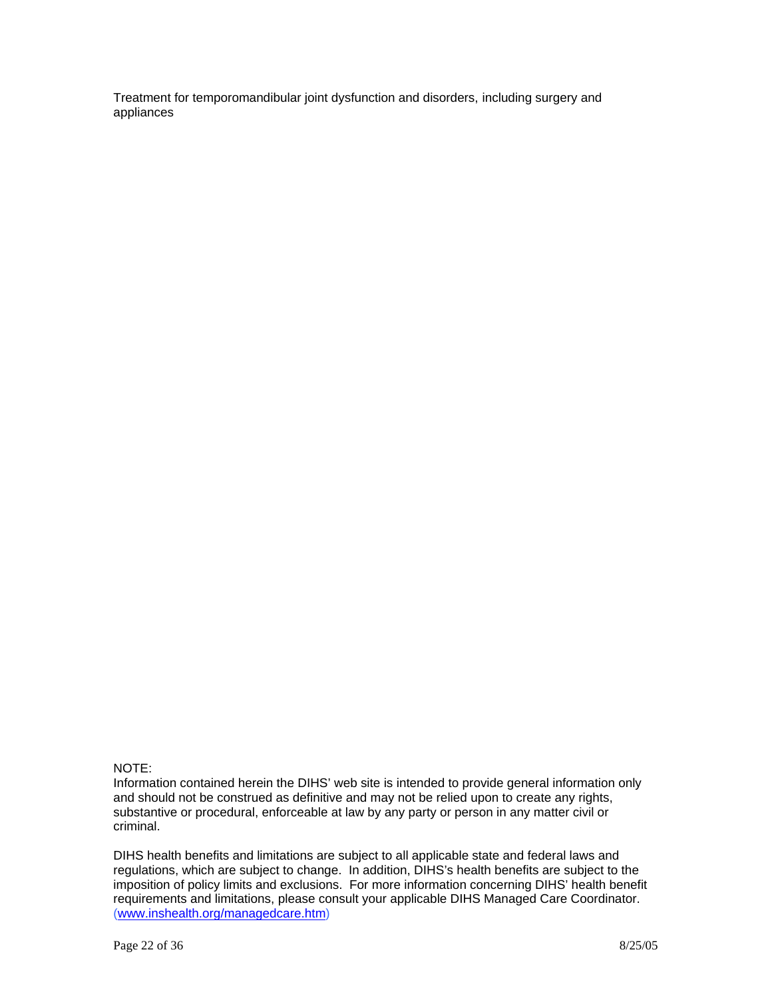Treatment for temporomandibular joint dysfunction and disorders, including surgery and appliances

### NOTE:

Information contained herein the DIHS' web site is intended to provide general information only and should not be construed as definitive and may not be relied upon to create any rights, substantive or procedural, enforceable at law by any party or person in any matter civil or criminal.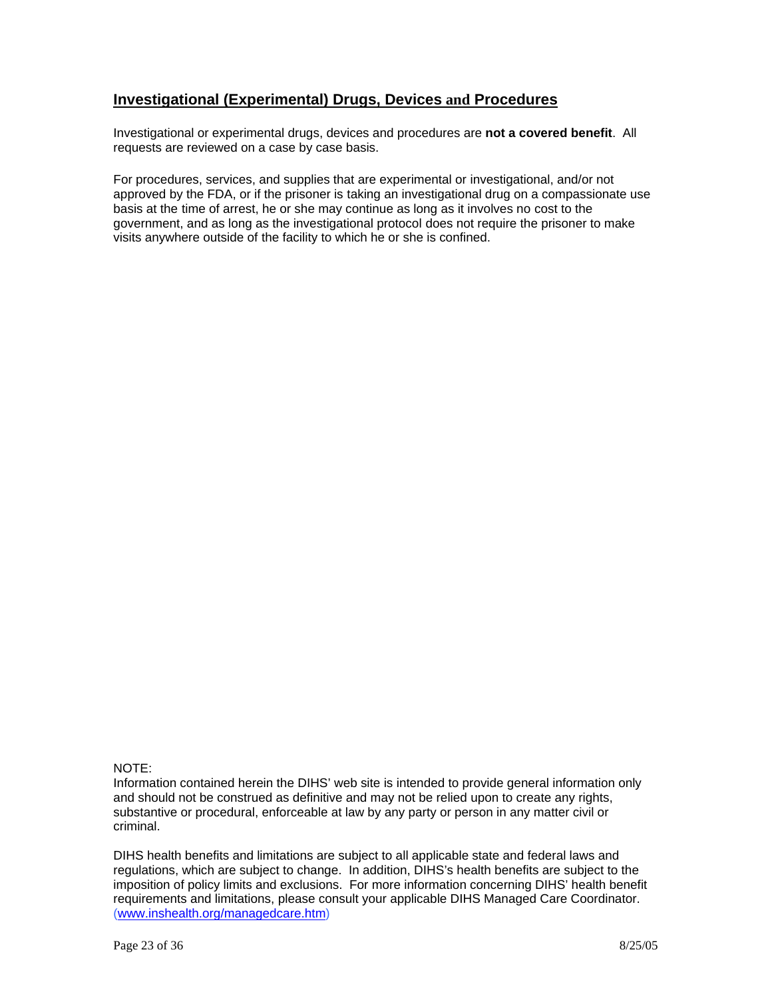## **Investigational (Experimental) Drugs, Devices and Procedures**

Investigational or experimental drugs, devices and procedures are **not a covered benefit**. All requests are reviewed on a case by case basis.

For procedures, services, and supplies that are experimental or investigational, and/or not approved by the FDA, or if the prisoner is taking an investigational drug on a compassionate use basis at the time of arrest, he or she may continue as long as it involves no cost to the government, and as long as the investigational protocol does not require the prisoner to make visits anywhere outside of the facility to which he or she is confined.

### NOTE:

Information contained herein the DIHS' web site is intended to provide general information only and should not be construed as definitive and may not be relied upon to create any rights, substantive or procedural, enforceable at law by any party or person in any matter civil or criminal.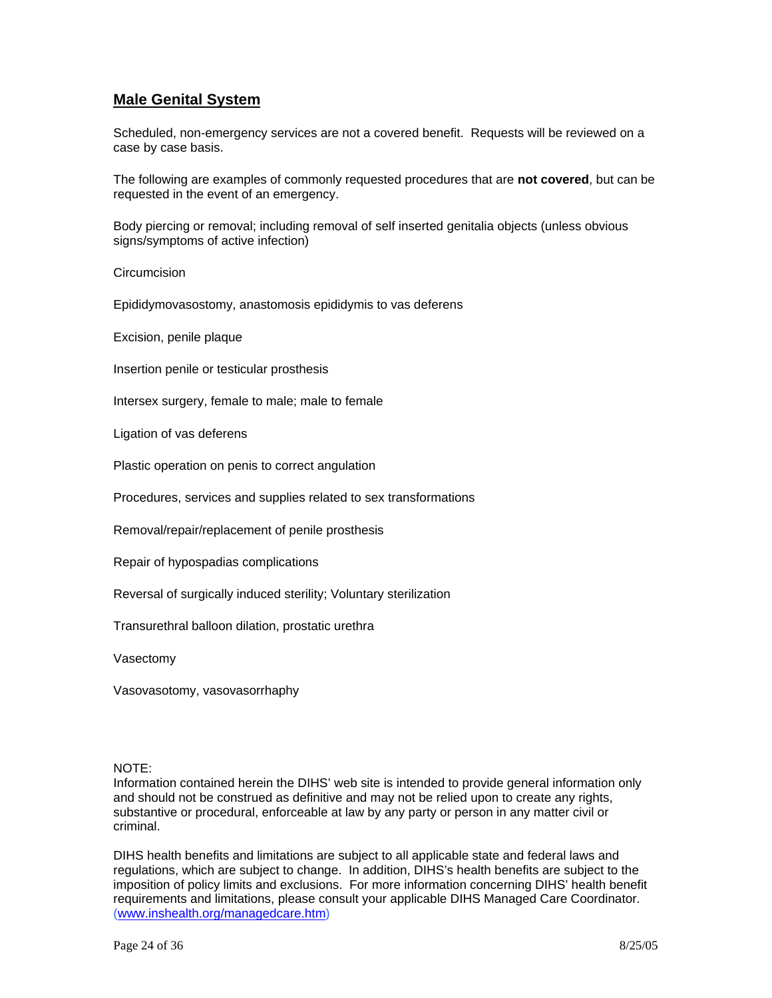# **Male Genital System**

Scheduled, non-emergency services are not a covered benefit. Requests will be reviewed on a case by case basis.

The following are examples of commonly requested procedures that are **not covered**, but can be requested in the event of an emergency.

Body piercing or removal; including removal of self inserted genitalia objects (unless obvious signs/symptoms of active infection)

**Circumcision** 

Epididymovasostomy, anastomosis epididymis to vas deferens

Excision, penile plaque

Insertion penile or testicular prosthesis

Intersex surgery, female to male; male to female

Ligation of vas deferens

Plastic operation on penis to correct angulation

Procedures, services and supplies related to sex transformations

Removal/repair/replacement of penile prosthesis

Repair of hypospadias complications

Reversal of surgically induced sterility; Voluntary sterilization

Transurethral balloon dilation, prostatic urethra

Vasectomy

Vasovasotomy, vasovasorrhaphy

#### NOTE:

Information contained herein the DIHS' web site is intended to provide general information only and should not be construed as definitive and may not be relied upon to create any rights, substantive or procedural, enforceable at law by any party or person in any matter civil or criminal.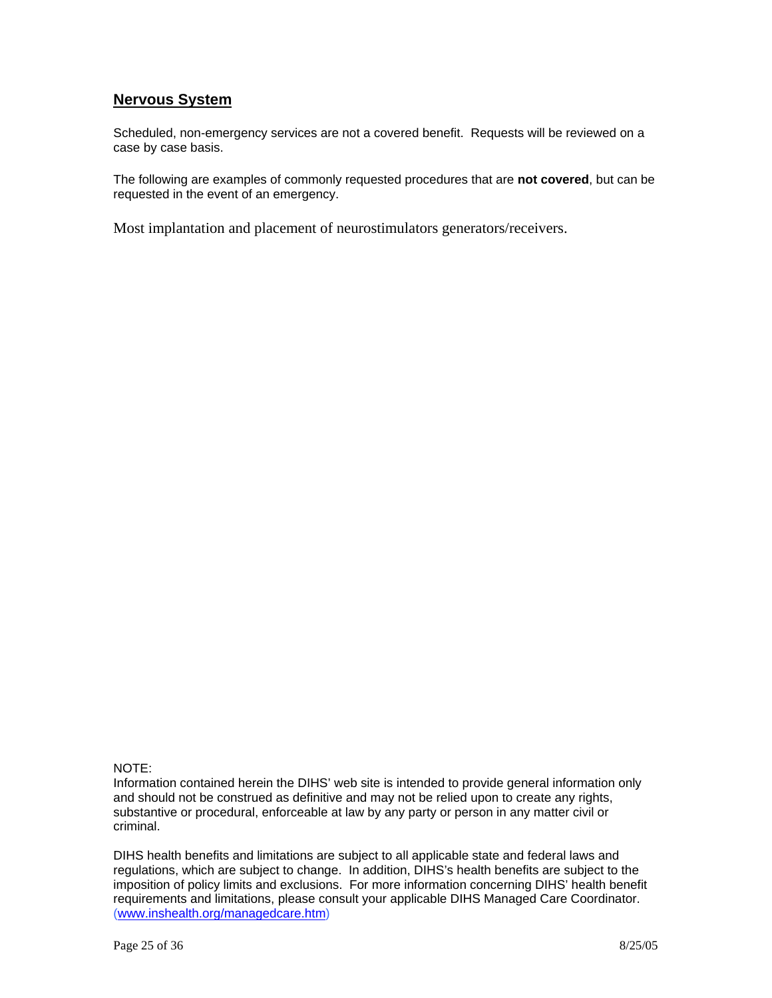## **Nervous System**

Scheduled, non-emergency services are not a covered benefit. Requests will be reviewed on a case by case basis.

The following are examples of commonly requested procedures that are **not covered**, but can be requested in the event of an emergency.

Most implantation and placement of neurostimulators generators/receivers.

### NOTE:

Information contained herein the DIHS' web site is intended to provide general information only and should not be construed as definitive and may not be relied upon to create any rights, substantive or procedural, enforceable at law by any party or person in any matter civil or criminal.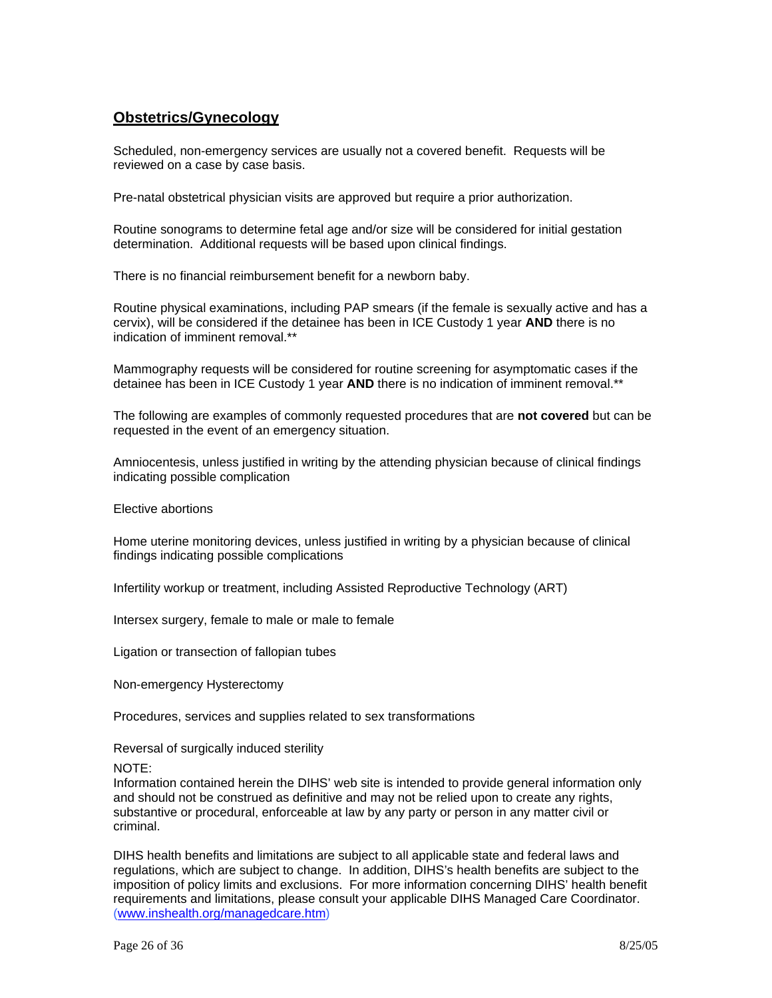## **Obstetrics/Gynecology**

Scheduled, non-emergency services are usually not a covered benefit. Requests will be reviewed on a case by case basis.

Pre-natal obstetrical physician visits are approved but require a prior authorization.

Routine sonograms to determine fetal age and/or size will be considered for initial gestation determination. Additional requests will be based upon clinical findings.

There is no financial reimbursement benefit for a newborn baby.

Routine physical examinations, including PAP smears (if the female is sexually active and has a cervix), will be considered if the detainee has been in ICE Custody 1 year **AND** there is no indication of imminent removal \*\*

Mammography requests will be considered for routine screening for asymptomatic cases if the detainee has been in ICE Custody 1 year **AND** there is no indication of imminent removal.\*\*

The following are examples of commonly requested procedures that are **not covered** but can be requested in the event of an emergency situation.

Amniocentesis, unless justified in writing by the attending physician because of clinical findings indicating possible complication

Elective abortions

Home uterine monitoring devices, unless justified in writing by a physician because of clinical findings indicating possible complications

Infertility workup or treatment, including Assisted Reproductive Technology (ART)

Intersex surgery, female to male or male to female

Ligation or transection of fallopian tubes

Non-emergency Hysterectomy

Procedures, services and supplies related to sex transformations

Reversal of surgically induced sterility

NOTE:

Information contained herein the DIHS' web site is intended to provide general information only and should not be construed as definitive and may not be relied upon to create any rights, substantive or procedural, enforceable at law by any party or person in any matter civil or criminal.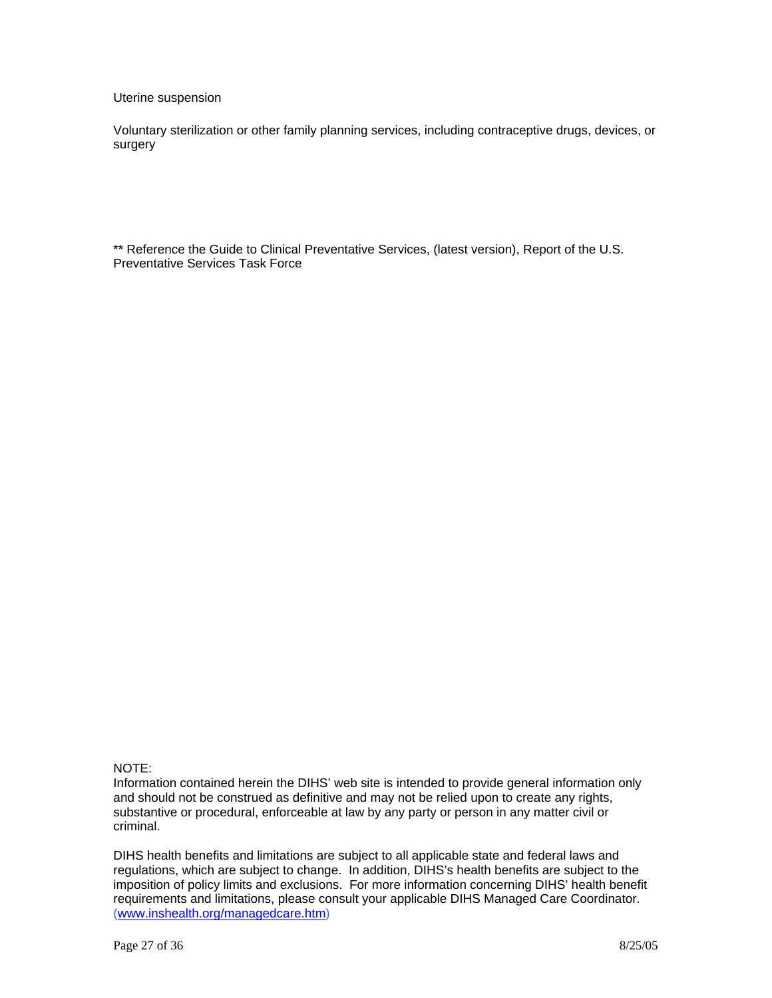Uterine suspension

Voluntary sterilization or other family planning services, including contraceptive drugs, devices, or surgery

\*\* Reference the Guide to Clinical Preventative Services, (latest version), Report of the U.S. Preventative Services Task Force

NOTE:

Information contained herein the DIHS' web site is intended to provide general information only and should not be construed as definitive and may not be relied upon to create any rights, substantive or procedural, enforceable at law by any party or person in any matter civil or criminal.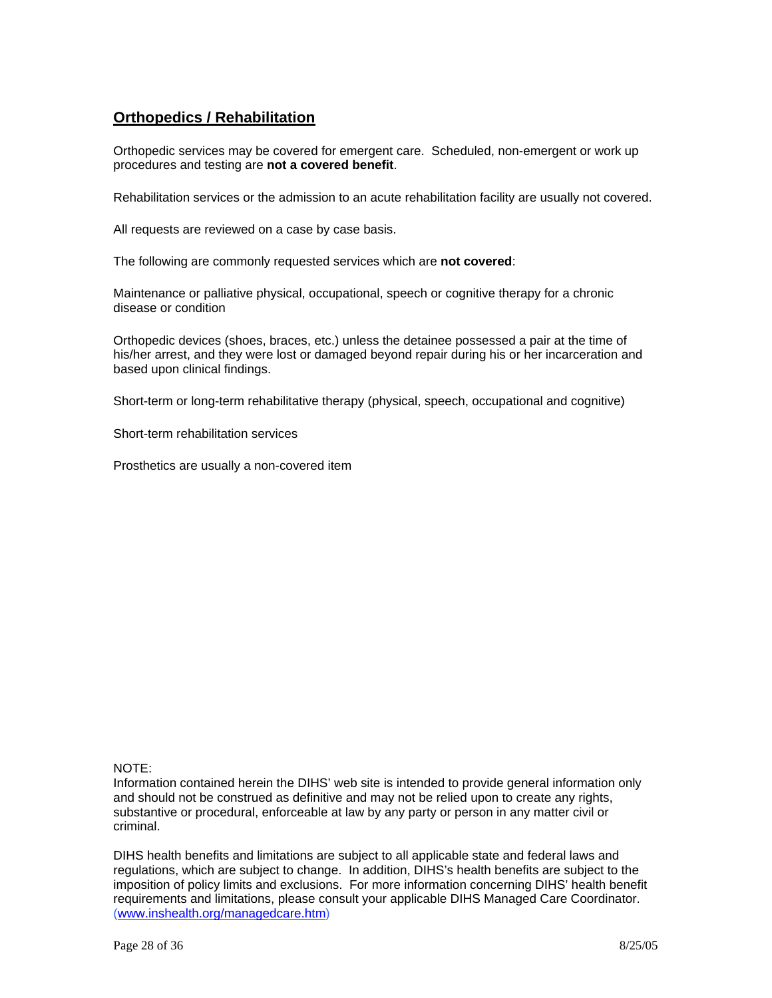# **Orthopedics / Rehabilitation**

Orthopedic services may be covered for emergent care. Scheduled, non-emergent or work up procedures and testing are **not a covered benefit**.

Rehabilitation services or the admission to an acute rehabilitation facility are usually not covered.

All requests are reviewed on a case by case basis.

The following are commonly requested services which are **not covered**:

Maintenance or palliative physical, occupational, speech or cognitive therapy for a chronic disease or condition

Orthopedic devices (shoes, braces, etc.) unless the detainee possessed a pair at the time of his/her arrest, and they were lost or damaged beyond repair during his or her incarceration and based upon clinical findings.

Short-term or long-term rehabilitative therapy (physical, speech, occupational and cognitive)

Short-term rehabilitation services

Prosthetics are usually a non-covered item

### NOTE:

Information contained herein the DIHS' web site is intended to provide general information only and should not be construed as definitive and may not be relied upon to create any rights, substantive or procedural, enforceable at law by any party or person in any matter civil or criminal.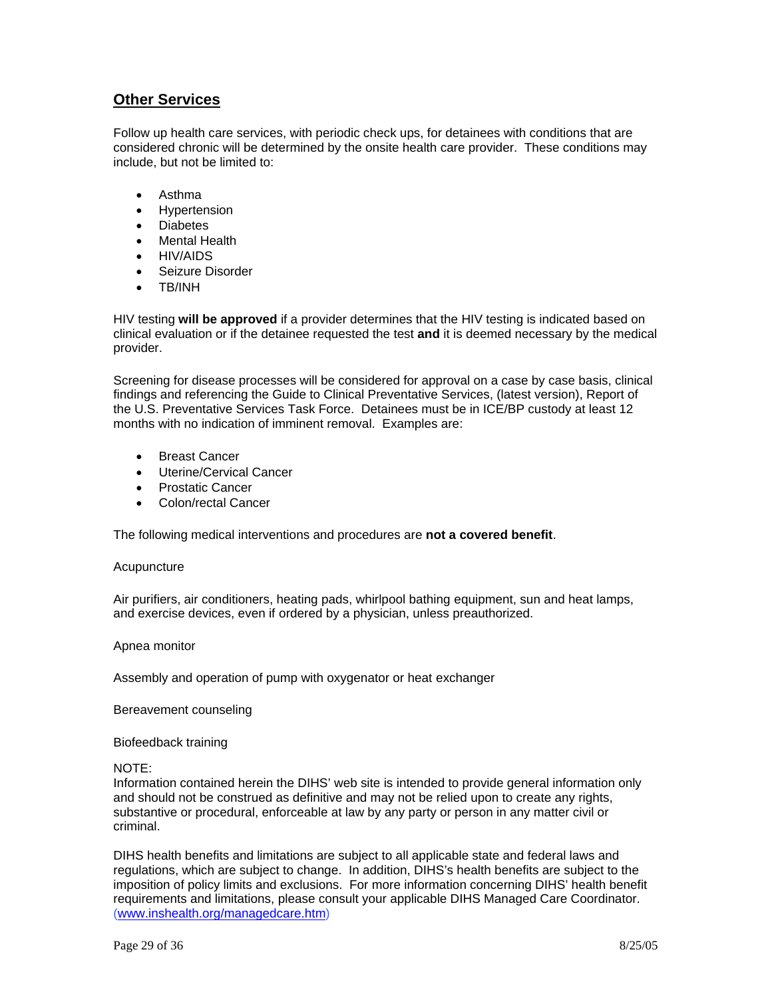## **Other Services**

Follow up health care services, with periodic check ups, for detainees with conditions that are considered chronic will be determined by the onsite health care provider. These conditions may include, but not be limited to:

- Asthma
- **Hypertension**
- Diabetes
- Mental Health
- HIV/AIDS
- Seizure Disorder
- TB/INH

HIV testing **will be approved** if a provider determines that the HIV testing is indicated based on clinical evaluation or if the detainee requested the test **and** it is deemed necessary by the medical provider.

Screening for disease processes will be considered for approval on a case by case basis, clinical findings and referencing the Guide to Clinical Preventative Services, (latest version), Report of the U.S. Preventative Services Task Force. Detainees must be in ICE/BP custody at least 12 months with no indication of imminent removal. Examples are:

- Breast Cancer
- Uterine/Cervical Cancer
- Prostatic Cancer
- Colon/rectal Cancer

The following medical interventions and procedures are **not a covered benefit**.

### Acupuncture

Air purifiers, air conditioners, heating pads, whirlpool bathing equipment, sun and heat lamps, and exercise devices, even if ordered by a physician, unless preauthorized.

### Apnea monitor

Assembly and operation of pump with oxygenator or heat exchanger

Bereavement counseling

Biofeedback training

### NOTE:

Information contained herein the DIHS' web site is intended to provide general information only and should not be construed as definitive and may not be relied upon to create any rights, substantive or procedural, enforceable at law by any party or person in any matter civil or criminal.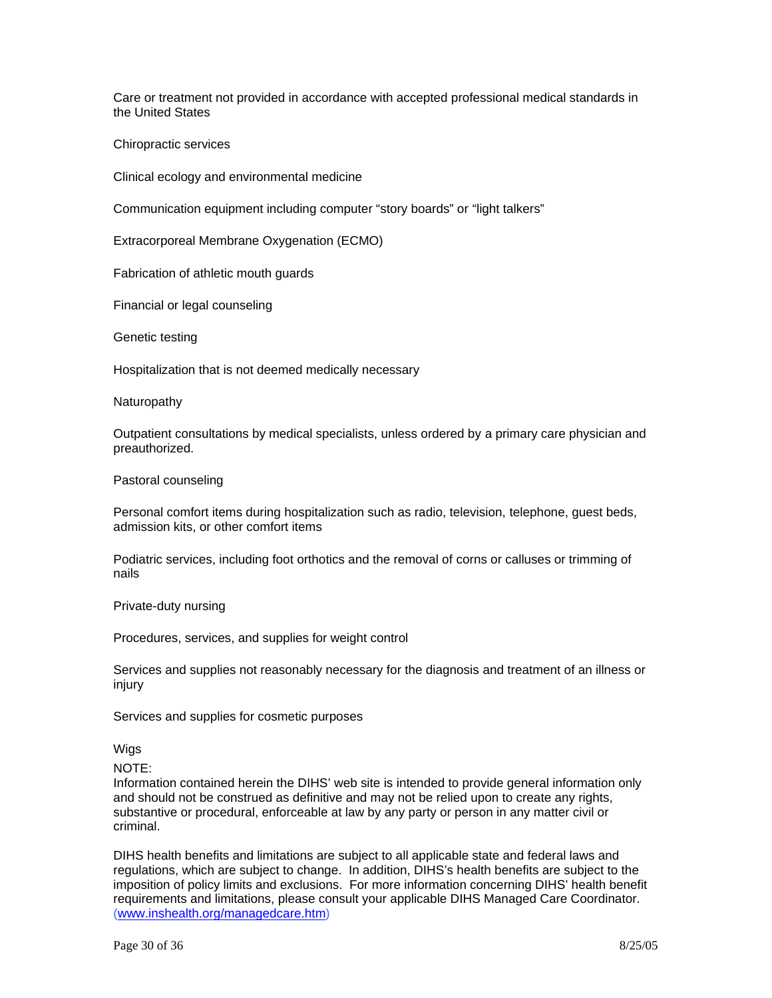Care or treatment not provided in accordance with accepted professional medical standards in the United States

Chiropractic services

Clinical ecology and environmental medicine

Communication equipment including computer "story boards" or "light talkers"

Extracorporeal Membrane Oxygenation (ECMO)

Fabrication of athletic mouth guards

Financial or legal counseling

Genetic testing

Hospitalization that is not deemed medically necessary

Naturopathy

Outpatient consultations by medical specialists, unless ordered by a primary care physician and preauthorized.

Pastoral counseling

Personal comfort items during hospitalization such as radio, television, telephone, guest beds, admission kits, or other comfort items

Podiatric services, including foot orthotics and the removal of corns or calluses or trimming of nails

Private-duty nursing

Procedures, services, and supplies for weight control

Services and supplies not reasonably necessary for the diagnosis and treatment of an illness or injury

Services and supplies for cosmetic purposes

Wigs

NOTE:

Information contained herein the DIHS' web site is intended to provide general information only and should not be construed as definitive and may not be relied upon to create any rights, substantive or procedural, enforceable at law by any party or person in any matter civil or criminal.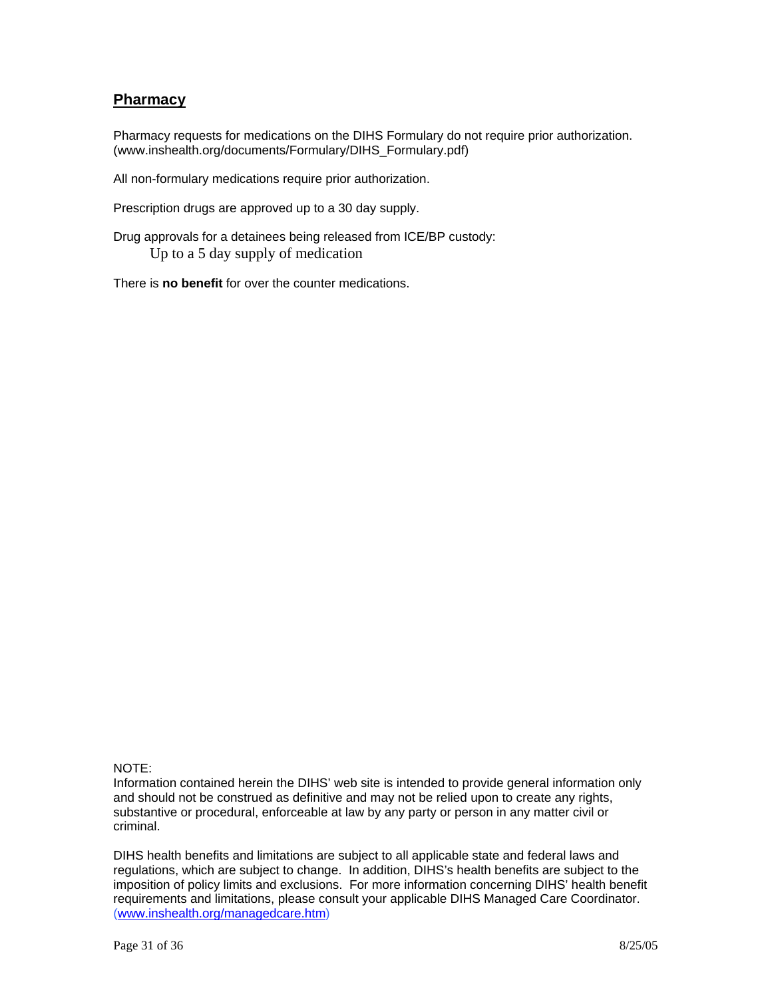### **Pharmacy**

Pharmacy requests for medications on the DIHS Formulary do not require prior authorization. (www.inshealth.org/documents/Formulary/DIHS\_Formulary.pdf)

All non-formulary medications require prior authorization.

Prescription drugs are approved up to a 30 day supply.

Drug approvals for a detainees being released from ICE/BP custody: Up to a 5 day supply of medication

There is **no benefit** for over the counter medications.

### NOTE:

Information contained herein the DIHS' web site is intended to provide general information only and should not be construed as definitive and may not be relied upon to create any rights, substantive or procedural, enforceable at law by any party or person in any matter civil or criminal.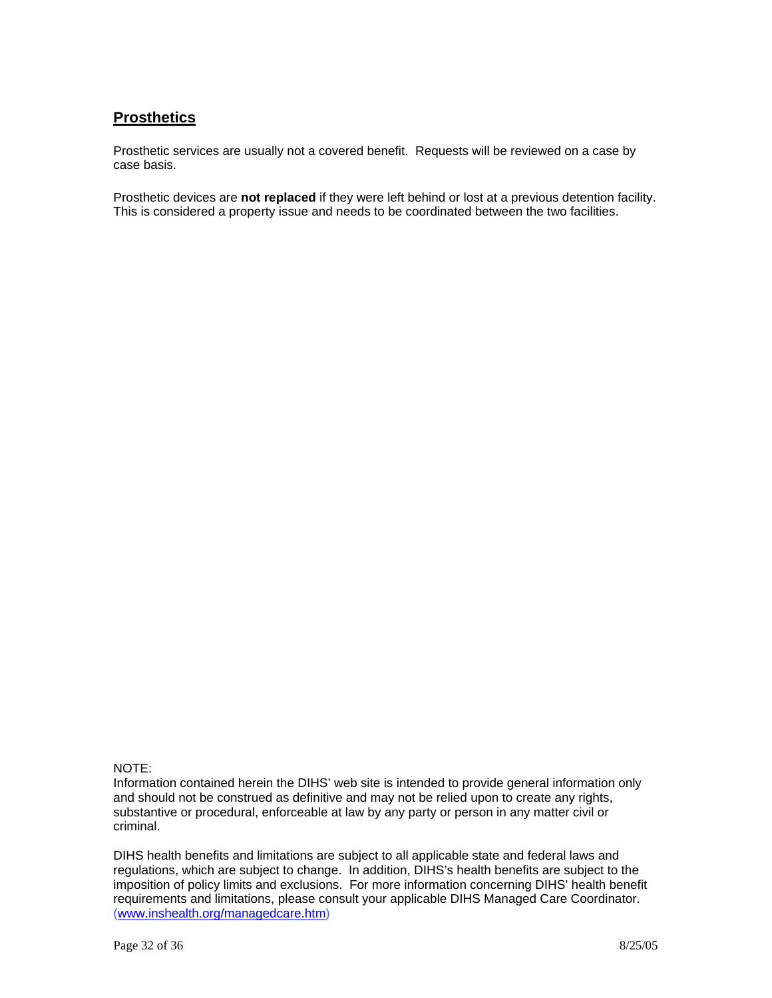# **Prosthetics**

Prosthetic services are usually not a covered benefit. Requests will be reviewed on a case by case basis.

Prosthetic devices are **not replaced** if they were left behind or lost at a previous detention facility. This is considered a property issue and needs to be coordinated between the two facilities.

### NOTE:

Information contained herein the DIHS' web site is intended to provide general information only and should not be construed as definitive and may not be relied upon to create any rights, substantive or procedural, enforceable at law by any party or person in any matter civil or criminal.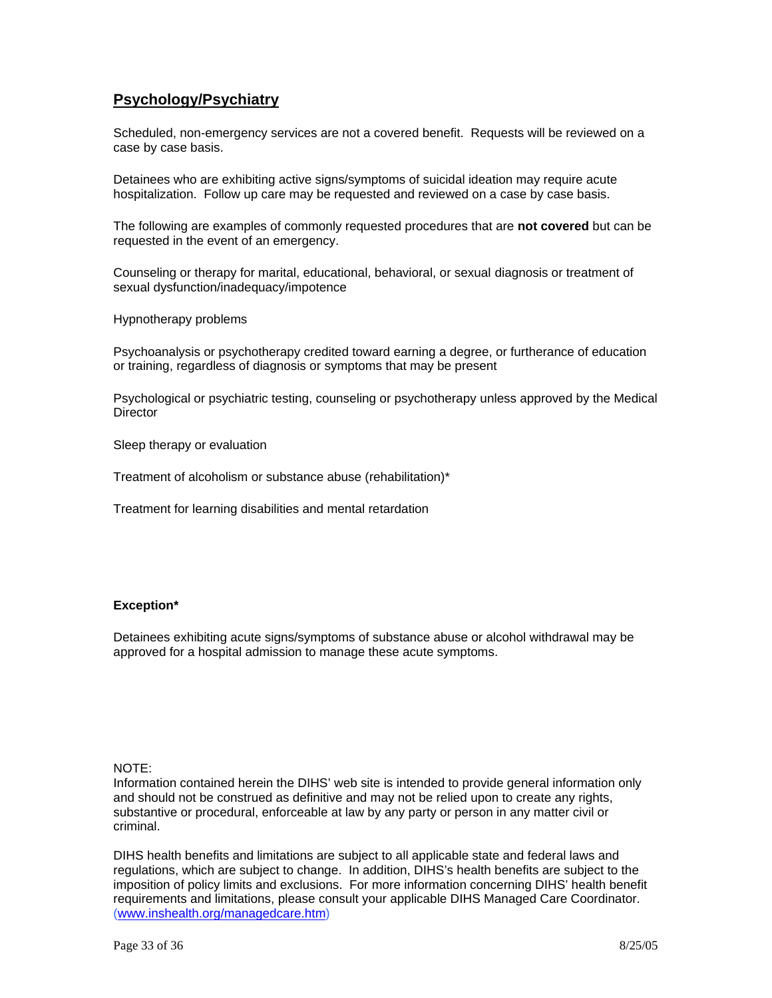## **Psychology/Psychiatry**

Scheduled, non-emergency services are not a covered benefit. Requests will be reviewed on a case by case basis.

Detainees who are exhibiting active signs/symptoms of suicidal ideation may require acute hospitalization. Follow up care may be requested and reviewed on a case by case basis.

The following are examples of commonly requested procedures that are **not covered** but can be requested in the event of an emergency.

Counseling or therapy for marital, educational, behavioral, or sexual diagnosis or treatment of sexual dysfunction/inadequacy/impotence

Hypnotherapy problems

Psychoanalysis or psychotherapy credited toward earning a degree, or furtherance of education or training, regardless of diagnosis or symptoms that may be present

Psychological or psychiatric testing, counseling or psychotherapy unless approved by the Medical **Director** 

Sleep therapy or evaluation

Treatment of alcoholism or substance abuse (rehabilitation)\*

Treatment for learning disabilities and mental retardation

### **Exception\***

Detainees exhibiting acute signs/symptoms of substance abuse or alcohol withdrawal may be approved for a hospital admission to manage these acute symptoms.

#### NOTE:

Information contained herein the DIHS' web site is intended to provide general information only and should not be construed as definitive and may not be relied upon to create any rights, substantive or procedural, enforceable at law by any party or person in any matter civil or criminal.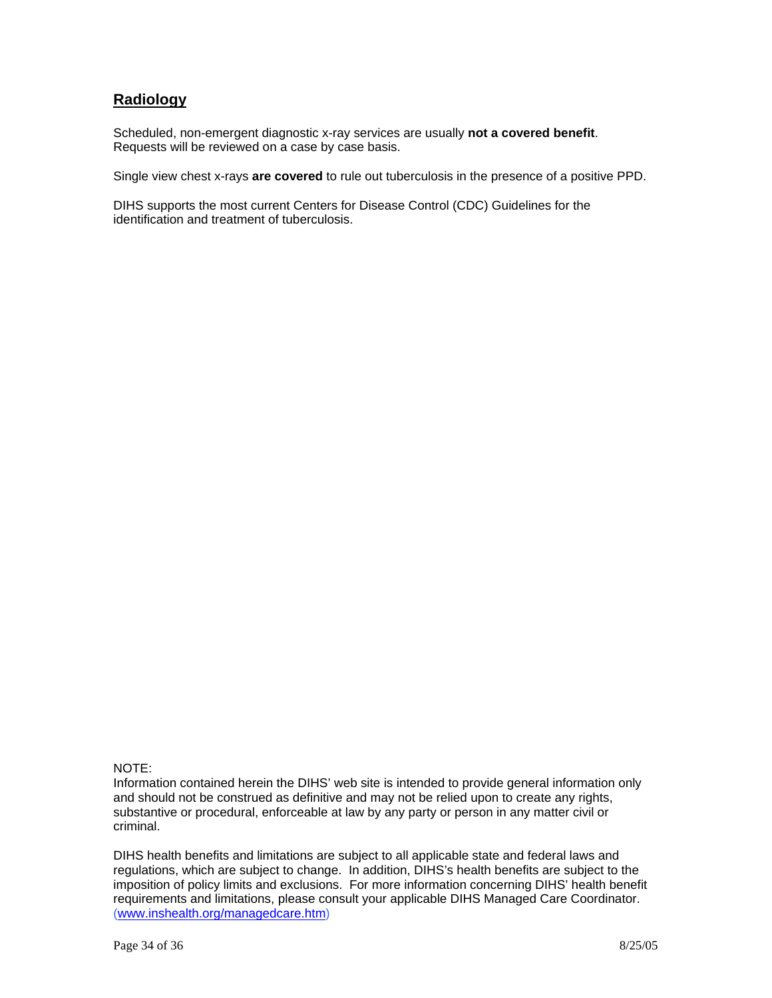## **Radiology**

Scheduled, non-emergent diagnostic x-ray services are usually **not a covered benefit**. Requests will be reviewed on a case by case basis.

Single view chest x-rays **are covered** to rule out tuberculosis in the presence of a positive PPD.

DIHS supports the most current Centers for Disease Control (CDC) Guidelines for the identification and treatment of tuberculosis.

### NOTE:

Information contained herein the DIHS' web site is intended to provide general information only and should not be construed as definitive and may not be relied upon to create any rights, substantive or procedural, enforceable at law by any party or person in any matter civil or criminal.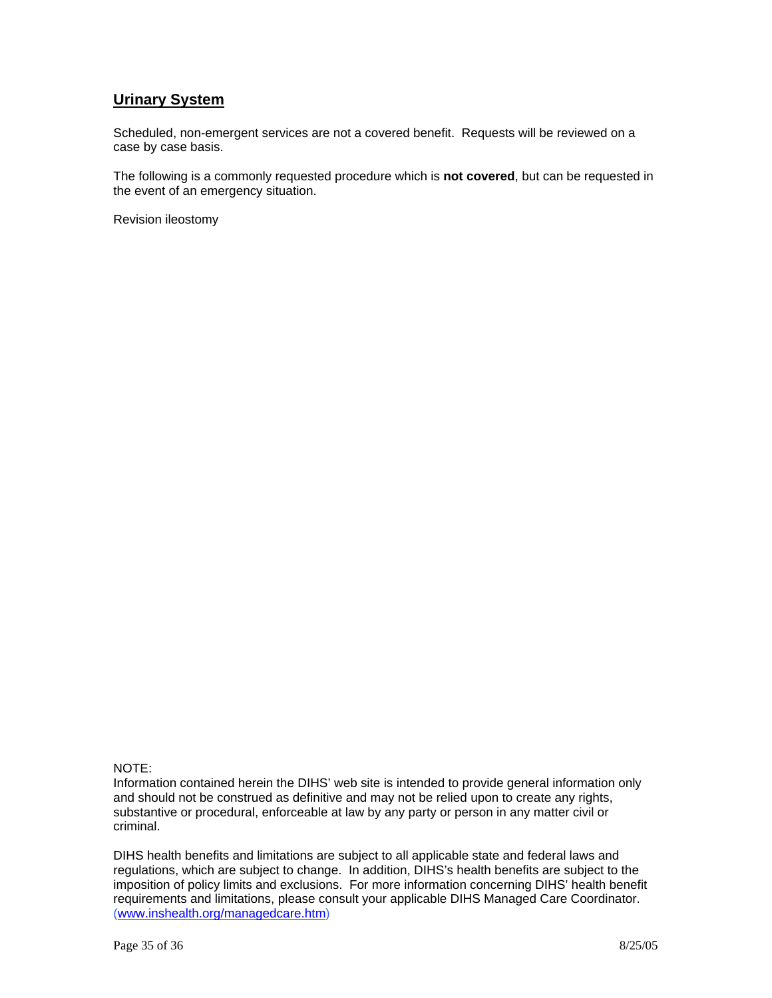### **Urinary System**

Scheduled, non-emergent services are not a covered benefit. Requests will be reviewed on a case by case basis.

The following is a commonly requested procedure which is **not covered**, but can be requested in the event of an emergency situation.

Revision ileostomy

### NOTE:

Information contained herein the DIHS' web site is intended to provide general information only and should not be construed as definitive and may not be relied upon to create any rights, substantive or procedural, enforceable at law by any party or person in any matter civil or criminal.